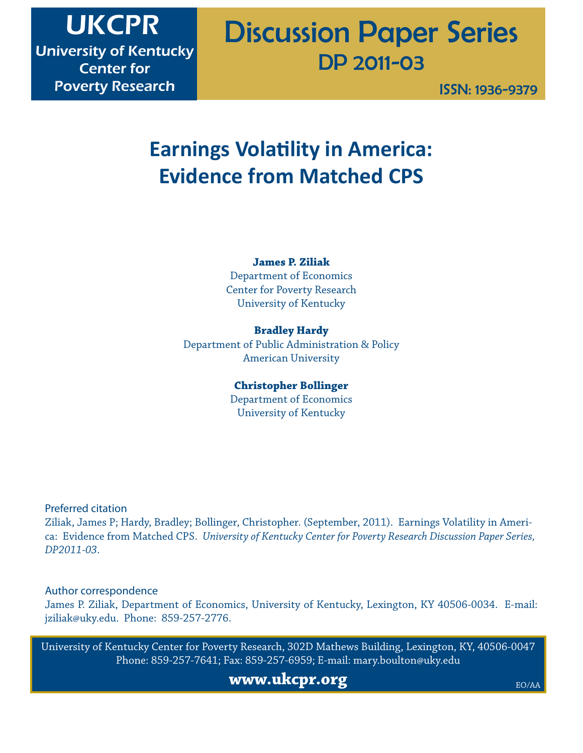## Discussion Paper Series DP 2011-03

ISSN: 1936-9379

## **Earnings Volatility in America: Evidence from Matched CPS**

**James P. Ziliak** Department of Economics Center for Poverty Research University of Kentucky

**Bradley Hardy** Department of Public Administration & Policy American University

> **Christopher Bollinger** Department of Economics University of Kentucky

Preferred citation

Ziliak, James P; Hardy, Bradley; Bollinger, Christopher. (September, 2011). Earnings Volatility in America: Evidence from Matched CPS. *University of Kentucky Center for Poverty Research Discussion Paper Series, DP2011-03*.

Author correspondence

James P. Ziliak, Department of Economics, University of Kentucky, Lexington, KY 40506-0034. E-mail: jziliak@uky.edu. Phone: 859-257-2776.

University of Kentucky Center for Poverty Research, 302D Mathews Building, Lexington, KY, 40506-0047 Phone: 859-257-7641; Fax: 859-257-6959; E-mail: mary.boulton@uky.edu

**www.ukcpr.org**

EO/AA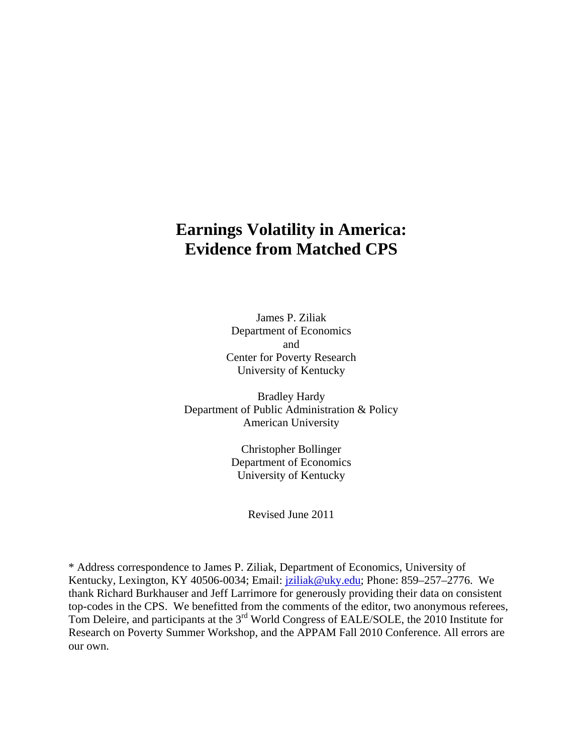### **Earnings Volatility in America: Evidence from Matched CPS**

James P. Ziliak Department of Economics and Center for Poverty Research University of Kentucky

Bradley Hardy Department of Public Administration & Policy American University

> Christopher Bollinger Department of Economics University of Kentucky

> > Revised June 2011

\* Address correspondence to James P. Ziliak, Department of Economics, University of Kentucky, Lexington, KY 40506-0034; Email: *jziliak@uky.edu; Phone: 859–257–2776*. We thank Richard Burkhauser and Jeff Larrimore for generously providing their data on consistent top-codes in the CPS. We benefitted from the comments of the editor, two anonymous referees, Tom Deleire, and participants at the 3<sup>rd</sup> World Congress of EALE/SOLE, the 2010 Institute for Research on Poverty Summer Workshop, and the APPAM Fall 2010 Conference. All errors are our own.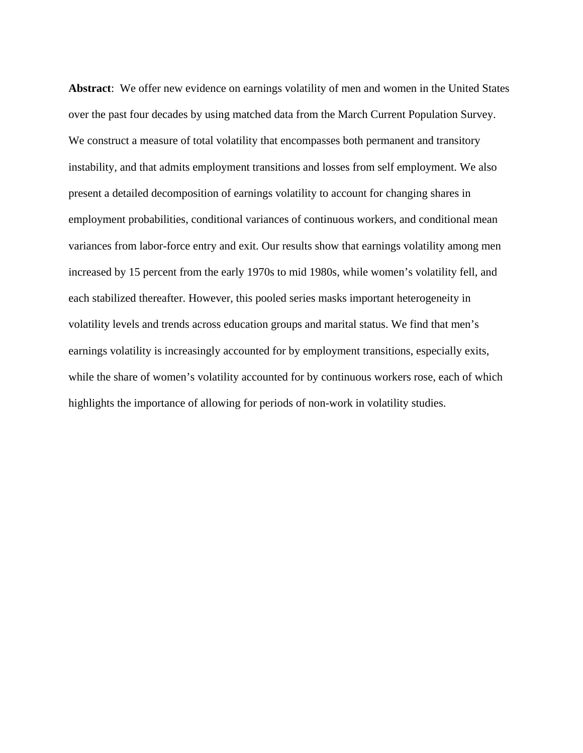**Abstract**: We offer new evidence on earnings volatility of men and women in the United States over the past four decades by using matched data from the March Current Population Survey. We construct a measure of total volatility that encompasses both permanent and transitory instability, and that admits employment transitions and losses from self employment. We also present a detailed decomposition of earnings volatility to account for changing shares in employment probabilities, conditional variances of continuous workers, and conditional mean variances from labor-force entry and exit. Our results show that earnings volatility among men increased by 15 percent from the early 1970s to mid 1980s, while women's volatility fell, and each stabilized thereafter. However, this pooled series masks important heterogeneity in volatility levels and trends across education groups and marital status. We find that men's earnings volatility is increasingly accounted for by employment transitions, especially exits, while the share of women's volatility accounted for by continuous workers rose, each of which highlights the importance of allowing for periods of non-work in volatility studies.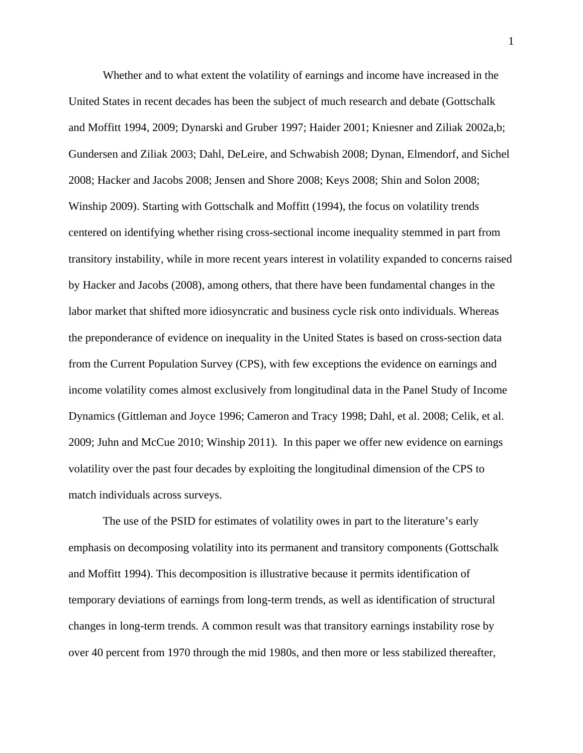Whether and to what extent the volatility of earnings and income have increased in the United States in recent decades has been the subject of much research and debate (Gottschalk and Moffitt 1994, 2009; Dynarski and Gruber 1997; Haider 2001; Kniesner and Ziliak 2002a,b; Gundersen and Ziliak 2003; Dahl, DeLeire, and Schwabish 2008; Dynan, Elmendorf, and Sichel 2008; Hacker and Jacobs 2008; Jensen and Shore 2008; Keys 2008; Shin and Solon 2008; Winship 2009). Starting with Gottschalk and Moffitt (1994), the focus on volatility trends centered on identifying whether rising cross-sectional income inequality stemmed in part from transitory instability, while in more recent years interest in volatility expanded to concerns raised by Hacker and Jacobs (2008), among others, that there have been fundamental changes in the labor market that shifted more idiosyncratic and business cycle risk onto individuals. Whereas the preponderance of evidence on inequality in the United States is based on cross-section data from the Current Population Survey (CPS), with few exceptions the evidence on earnings and income volatility comes almost exclusively from longitudinal data in the Panel Study of Income Dynamics (Gittleman and Joyce 1996; Cameron and Tracy 1998; Dahl, et al. 2008; Celik, et al. 2009; Juhn and McCue 2010; Winship 2011). In this paper we offer new evidence on earnings volatility over the past four decades by exploiting the longitudinal dimension of the CPS to match individuals across surveys.

The use of the PSID for estimates of volatility owes in part to the literature's early emphasis on decomposing volatility into its permanent and transitory components (Gottschalk and Moffitt 1994). This decomposition is illustrative because it permits identification of temporary deviations of earnings from long-term trends, as well as identification of structural changes in long-term trends. A common result was that transitory earnings instability rose by over 40 percent from 1970 through the mid 1980s, and then more or less stabilized thereafter,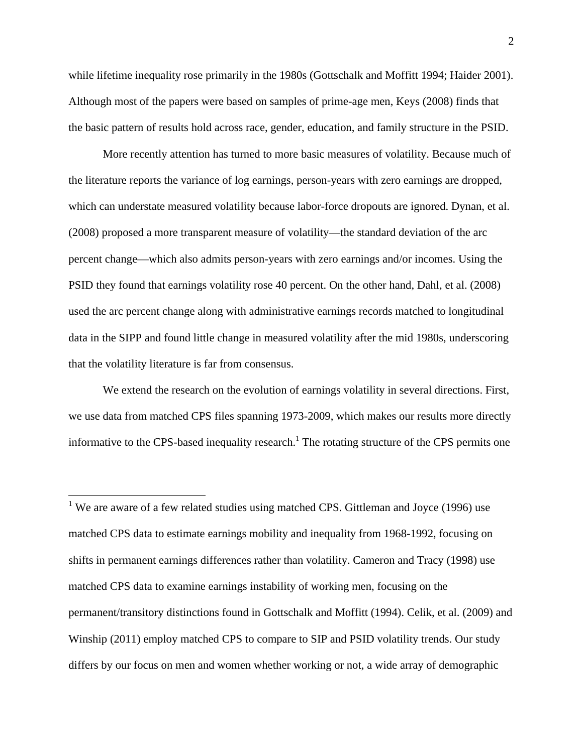while lifetime inequality rose primarily in the 1980s (Gottschalk and Moffitt 1994; Haider 2001). Although most of the papers were based on samples of prime-age men, Keys (2008) finds that the basic pattern of results hold across race, gender, education, and family structure in the PSID.

 More recently attention has turned to more basic measures of volatility. Because much of the literature reports the variance of log earnings, person-years with zero earnings are dropped, which can understate measured volatility because labor-force dropouts are ignored. Dynan, et al. (2008) proposed a more transparent measure of volatility—the standard deviation of the arc percent change—which also admits person-years with zero earnings and/or incomes. Using the PSID they found that earnings volatility rose 40 percent. On the other hand, Dahl, et al. (2008) used the arc percent change along with administrative earnings records matched to longitudinal data in the SIPP and found little change in measured volatility after the mid 1980s, underscoring that the volatility literature is far from consensus.

 We extend the research on the evolution of earnings volatility in several directions. First, we use data from matched CPS files spanning 1973-2009, which makes our results more directly informative to the CPS-based inequality research.<sup>1</sup> The rotating structure of the CPS permits one

1

<sup>1</sup> We are aware of a few related studies using matched CPS. Gittleman and Joyce (1996) use matched CPS data to estimate earnings mobility and inequality from 1968-1992, focusing on shifts in permanent earnings differences rather than volatility. Cameron and Tracy (1998) use matched CPS data to examine earnings instability of working men, focusing on the permanent/transitory distinctions found in Gottschalk and Moffitt (1994). Celik, et al. (2009) and Winship (2011) employ matched CPS to compare to SIP and PSID volatility trends. Our study differs by our focus on men and women whether working or not, a wide array of demographic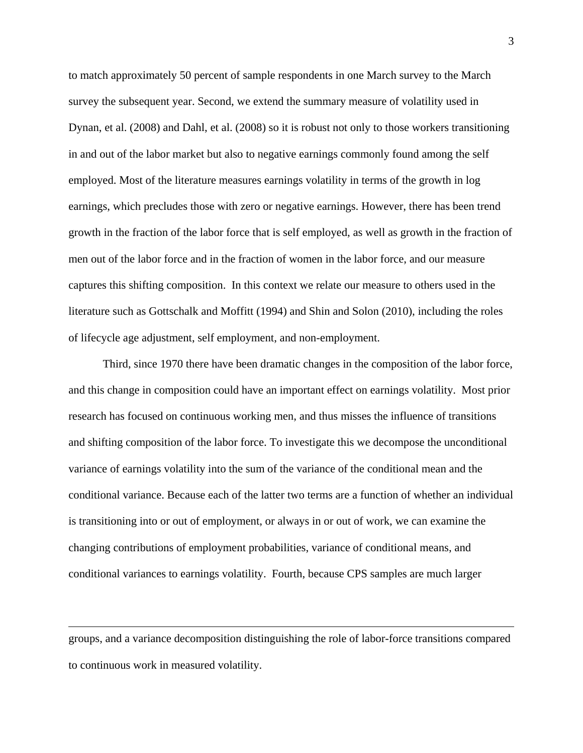to match approximately 50 percent of sample respondents in one March survey to the March survey the subsequent year. Second, we extend the summary measure of volatility used in Dynan, et al. (2008) and Dahl, et al. (2008) so it is robust not only to those workers transitioning in and out of the labor market but also to negative earnings commonly found among the self employed. Most of the literature measures earnings volatility in terms of the growth in log earnings, which precludes those with zero or negative earnings. However, there has been trend growth in the fraction of the labor force that is self employed, as well as growth in the fraction of men out of the labor force and in the fraction of women in the labor force, and our measure captures this shifting composition. In this context we relate our measure to others used in the literature such as Gottschalk and Moffitt (1994) and Shin and Solon (2010), including the roles of lifecycle age adjustment, self employment, and non-employment.

Third, since 1970 there have been dramatic changes in the composition of the labor force, and this change in composition could have an important effect on earnings volatility. Most prior research has focused on continuous working men, and thus misses the influence of transitions and shifting composition of the labor force. To investigate this we decompose the unconditional variance of earnings volatility into the sum of the variance of the conditional mean and the conditional variance. Because each of the latter two terms are a function of whether an individual is transitioning into or out of employment, or always in or out of work, we can examine the changing contributions of employment probabilities, variance of conditional means, and conditional variances to earnings volatility. Fourth, because CPS samples are much larger

groups, and a variance decomposition distinguishing the role of labor-force transitions compared to continuous work in measured volatility.

 $\overline{a}$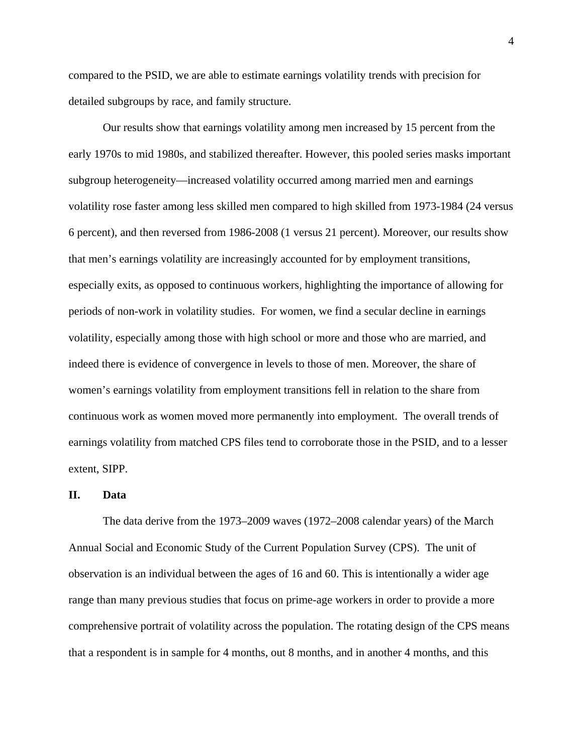compared to the PSID, we are able to estimate earnings volatility trends with precision for detailed subgroups by race, and family structure.

Our results show that earnings volatility among men increased by 15 percent from the early 1970s to mid 1980s, and stabilized thereafter. However, this pooled series masks important subgroup heterogeneity—increased volatility occurred among married men and earnings volatility rose faster among less skilled men compared to high skilled from 1973-1984 (24 versus 6 percent), and then reversed from 1986-2008 (1 versus 21 percent). Moreover, our results show that men's earnings volatility are increasingly accounted for by employment transitions, especially exits, as opposed to continuous workers, highlighting the importance of allowing for periods of non-work in volatility studies. For women, we find a secular decline in earnings volatility, especially among those with high school or more and those who are married, and indeed there is evidence of convergence in levels to those of men. Moreover, the share of women's earnings volatility from employment transitions fell in relation to the share from continuous work as women moved more permanently into employment. The overall trends of earnings volatility from matched CPS files tend to corroborate those in the PSID, and to a lesser extent, SIPP.

#### **II. Data**

 The data derive from the 1973–2009 waves (1972–2008 calendar years) of the March Annual Social and Economic Study of the Current Population Survey (CPS). The unit of observation is an individual between the ages of 16 and 60. This is intentionally a wider age range than many previous studies that focus on prime-age workers in order to provide a more comprehensive portrait of volatility across the population. The rotating design of the CPS means that a respondent is in sample for 4 months, out 8 months, and in another 4 months, and this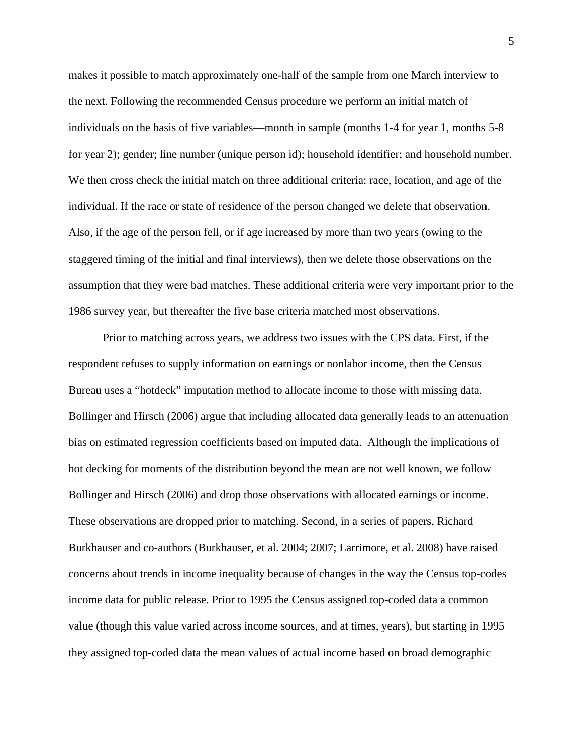makes it possible to match approximately one-half of the sample from one March interview to the next. Following the recommended Census procedure we perform an initial match of individuals on the basis of five variables—month in sample (months 1-4 for year 1, months 5-8 for year 2); gender; line number (unique person id); household identifier; and household number. We then cross check the initial match on three additional criteria: race, location, and age of the individual. If the race or state of residence of the person changed we delete that observation. Also, if the age of the person fell, or if age increased by more than two years (owing to the staggered timing of the initial and final interviews), then we delete those observations on the assumption that they were bad matches. These additional criteria were very important prior to the 1986 survey year, but thereafter the five base criteria matched most observations.

Prior to matching across years, we address two issues with the CPS data. First, if the respondent refuses to supply information on earnings or nonlabor income, then the Census Bureau uses a "hotdeck" imputation method to allocate income to those with missing data. Bollinger and Hirsch (2006) argue that including allocated data generally leads to an attenuation bias on estimated regression coefficients based on imputed data. Although the implications of hot decking for moments of the distribution beyond the mean are not well known, we follow Bollinger and Hirsch (2006) and drop those observations with allocated earnings or income. These observations are dropped prior to matching. Second, in a series of papers, Richard Burkhauser and co-authors (Burkhauser, et al. 2004; 2007; Larrimore, et al. 2008) have raised concerns about trends in income inequality because of changes in the way the Census top-codes income data for public release. Prior to 1995 the Census assigned top-coded data a common value (though this value varied across income sources, and at times, years), but starting in 1995 they assigned top-coded data the mean values of actual income based on broad demographic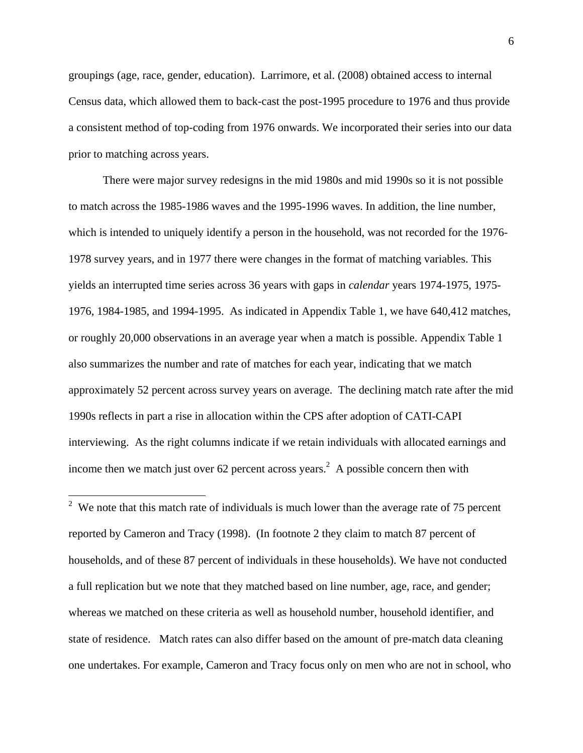groupings (age, race, gender, education). Larrimore, et al. (2008) obtained access to internal Census data, which allowed them to back-cast the post-1995 procedure to 1976 and thus provide a consistent method of top-coding from 1976 onwards. We incorporated their series into our data prior to matching across years.

There were major survey redesigns in the mid 1980s and mid 1990s so it is not possible to match across the 1985-1986 waves and the 1995-1996 waves. In addition, the line number, which is intended to uniquely identify a person in the household, was not recorded for the 1976- 1978 survey years, and in 1977 there were changes in the format of matching variables. This yields an interrupted time series across 36 years with gaps in *calendar* years 1974-1975, 1975- 1976, 1984-1985, and 1994-1995. As indicated in Appendix Table 1, we have 640,412 matches, or roughly 20,000 observations in an average year when a match is possible. Appendix Table 1 also summarizes the number and rate of matches for each year, indicating that we match approximately 52 percent across survey years on average. The declining match rate after the mid 1990s reflects in part a rise in allocation within the CPS after adoption of CATI-CAPI interviewing. As the right columns indicate if we retain individuals with allocated earnings and income then we match just over 62 percent across years.<sup>2</sup> A possible concern then with

<sup>2</sup> We note that this match rate of individuals is much lower than the average rate of 75 percent reported by Cameron and Tracy (1998). (In footnote 2 they claim to match 87 percent of households, and of these 87 percent of individuals in these households). We have not conducted a full replication but we note that they matched based on line number, age, race, and gender; whereas we matched on these criteria as well as household number, household identifier, and state of residence. Match rates can also differ based on the amount of pre-match data cleaning one undertakes. For example, Cameron and Tracy focus only on men who are not in school, who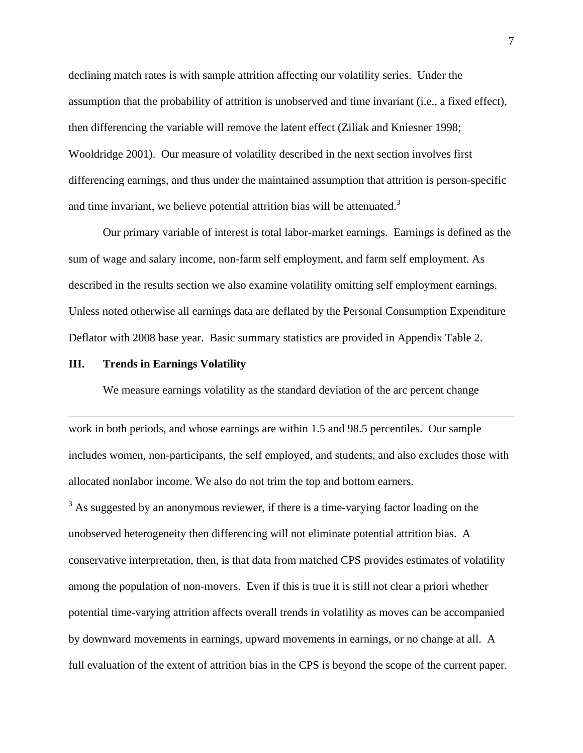declining match rates is with sample attrition affecting our volatility series. Under the assumption that the probability of attrition is unobserved and time invariant (i.e., a fixed effect), then differencing the variable will remove the latent effect (Ziliak and Kniesner 1998; Wooldridge 2001). Our measure of volatility described in the next section involves first differencing earnings, and thus under the maintained assumption that attrition is person-specific and time invariant, we believe potential attrition bias will be attenuated.<sup>3</sup>

 Our primary variable of interest is total labor-market earnings. Earnings is defined as the sum of wage and salary income, non-farm self employment, and farm self employment. As described in the results section we also examine volatility omitting self employment earnings. Unless noted otherwise all earnings data are deflated by the Personal Consumption Expenditure Deflator with 2008 base year. Basic summary statistics are provided in Appendix Table 2.

#### **III. Trends in Earnings Volatility**

 $\overline{a}$ 

We measure earnings volatility as the standard deviation of the arc percent change

work in both periods, and whose earnings are within 1.5 and 98.5 percentiles. Our sample includes women, non-participants, the self employed, and students, and also excludes those with allocated nonlabor income. We also do not trim the top and bottom earners.

 $3$  As suggested by an anonymous reviewer, if there is a time-varying factor loading on the unobserved heterogeneity then differencing will not eliminate potential attrition bias. A conservative interpretation, then, is that data from matched CPS provides estimates of volatility among the population of non-movers. Even if this is true it is still not clear a priori whether potential time-varying attrition affects overall trends in volatility as moves can be accompanied by downward movements in earnings, upward movements in earnings, or no change at all. A full evaluation of the extent of attrition bias in the CPS is beyond the scope of the current paper.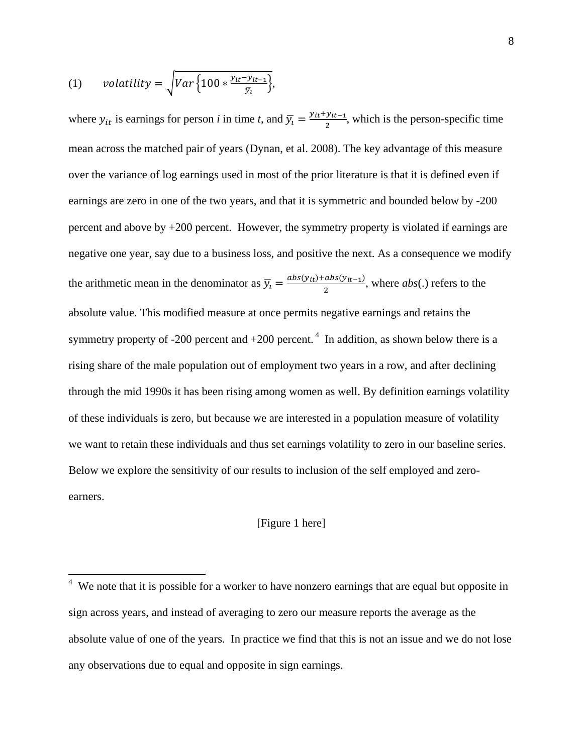(1) *volatility* = 
$$
\sqrt{Var\left\{100 * \frac{y_{it} - y_{it-1}}{\bar{y}_t}\right\}},
$$

where  $y_{it}$  is earnings for person *i* in time *t*, and  $\overline{y}_t = \frac{y_{it} + y_{it-1}}{2}$ , which is the person-specific time mean across the matched pair of years (Dynan, et al. 2008). The key advantage of this measure over the variance of log earnings used in most of the prior literature is that it is defined even if earnings are zero in one of the two years, and that it is symmetric and bounded below by -200 percent and above by +200 percent. However, the symmetry property is violated if earnings are negative one year, say due to a business loss, and positive the next. As a consequence we modify the arithmetic mean in the denominator as  $\overline{y}_l = \frac{abs(y_{it}) + abs(y_{it-1})}{2}$ , where *abs*(.) refers to the absolute value. This modified measure at once permits negative earnings and retains the symmetry property of -200 percent and  $+200$  percent.<sup>4</sup> In addition, as shown below there is a rising share of the male population out of employment two years in a row, and after declining through the mid 1990s it has been rising among women as well. By definition earnings volatility of these individuals is zero, but because we are interested in a population measure of volatility we want to retain these individuals and thus set earnings volatility to zero in our baseline series. Below we explore the sensitivity of our results to inclusion of the self employed and zeroearners.

#### [Figure 1 here]

 $\frac{4}{4}$  We note that it is possible for a worker to have nonzero earnings that are equal but opposite in sign across years, and instead of averaging to zero our measure reports the average as the absolute value of one of the years. In practice we find that this is not an issue and we do not lose any observations due to equal and opposite in sign earnings.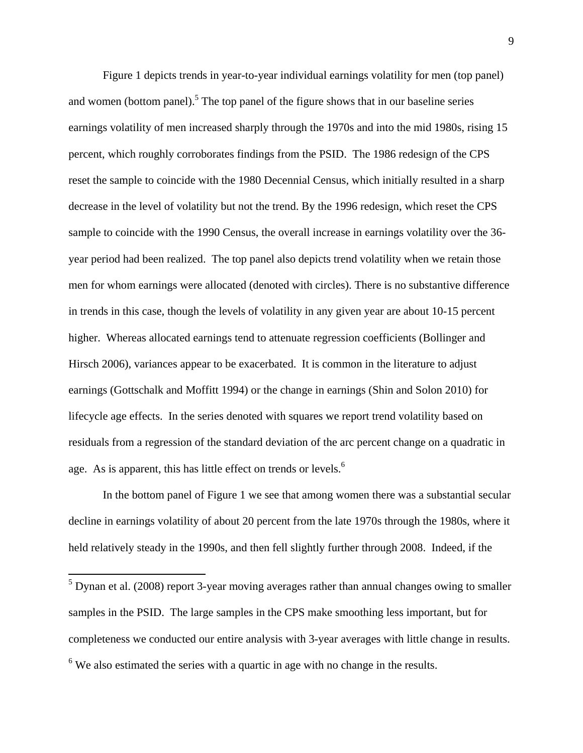Figure 1 depicts trends in year-to-year individual earnings volatility for men (top panel) and women (bottom panel).<sup>5</sup> The top panel of the figure shows that in our baseline series earnings volatility of men increased sharply through the 1970s and into the mid 1980s, rising 15 percent, which roughly corroborates findings from the PSID. The 1986 redesign of the CPS reset the sample to coincide with the 1980 Decennial Census, which initially resulted in a sharp decrease in the level of volatility but not the trend. By the 1996 redesign, which reset the CPS sample to coincide with the 1990 Census, the overall increase in earnings volatility over the 36 year period had been realized. The top panel also depicts trend volatility when we retain those men for whom earnings were allocated (denoted with circles). There is no substantive difference in trends in this case, though the levels of volatility in any given year are about 10-15 percent higher. Whereas allocated earnings tend to attenuate regression coefficients (Bollinger and Hirsch 2006), variances appear to be exacerbated. It is common in the literature to adjust earnings (Gottschalk and Moffitt 1994) or the change in earnings (Shin and Solon 2010) for lifecycle age effects. In the series denoted with squares we report trend volatility based on residuals from a regression of the standard deviation of the arc percent change on a quadratic in age. As is apparent, this has little effect on trends or levels.<sup>6</sup>

In the bottom panel of Figure 1 we see that among women there was a substantial secular decline in earnings volatility of about 20 percent from the late 1970s through the 1980s, where it held relatively steady in the 1990s, and then fell slightly further through 2008. Indeed, if the

 $\overline{a}$ 

 $<sup>5</sup>$  Dynan et al. (2008) report 3-year moving averages rather than annual changes owing to smaller</sup> samples in the PSID. The large samples in the CPS make smoothing less important, but for completeness we conducted our entire analysis with 3-year averages with little change in results.  $6$  We also estimated the series with a quartic in age with no change in the results.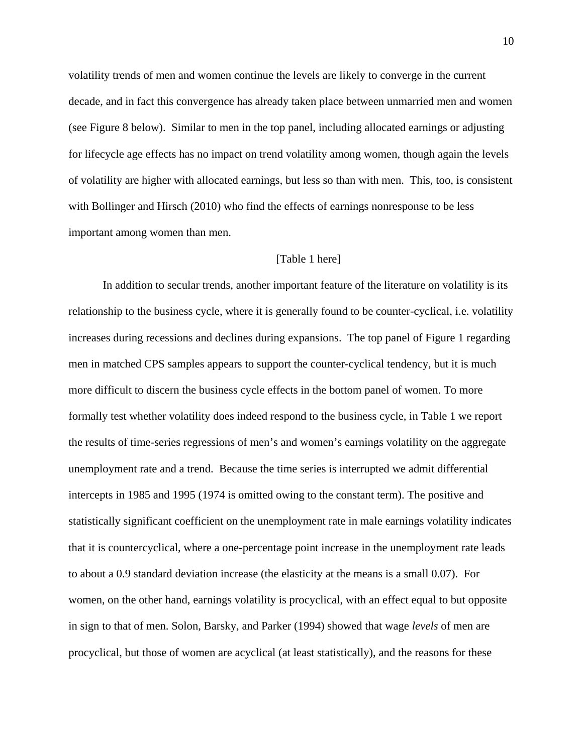volatility trends of men and women continue the levels are likely to converge in the current decade, and in fact this convergence has already taken place between unmarried men and women (see Figure 8 below). Similar to men in the top panel, including allocated earnings or adjusting for lifecycle age effects has no impact on trend volatility among women, though again the levels of volatility are higher with allocated earnings, but less so than with men. This, too, is consistent with Bollinger and Hirsch (2010) who find the effects of earnings nonresponse to be less important among women than men.

#### [Table 1 here]

In addition to secular trends, another important feature of the literature on volatility is its relationship to the business cycle, where it is generally found to be counter-cyclical, i.e. volatility increases during recessions and declines during expansions. The top panel of Figure 1 regarding men in matched CPS samples appears to support the counter-cyclical tendency, but it is much more difficult to discern the business cycle effects in the bottom panel of women. To more formally test whether volatility does indeed respond to the business cycle, in Table 1 we report the results of time-series regressions of men's and women's earnings volatility on the aggregate unemployment rate and a trend. Because the time series is interrupted we admit differential intercepts in 1985 and 1995 (1974 is omitted owing to the constant term). The positive and statistically significant coefficient on the unemployment rate in male earnings volatility indicates that it is countercyclical, where a one-percentage point increase in the unemployment rate leads to about a 0.9 standard deviation increase (the elasticity at the means is a small 0.07). For women, on the other hand, earnings volatility is procyclical, with an effect equal to but opposite in sign to that of men. Solon, Barsky, and Parker (1994) showed that wage *levels* of men are procyclical, but those of women are acyclical (at least statistically), and the reasons for these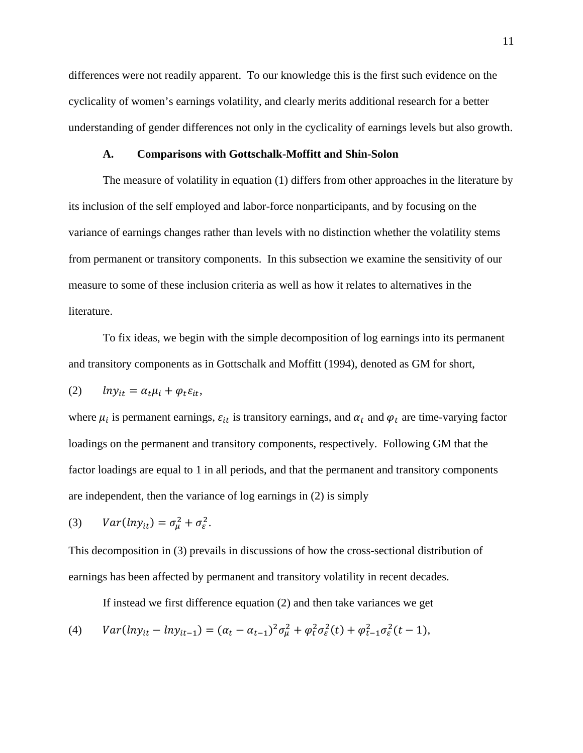differences were not readily apparent. To our knowledge this is the first such evidence on the cyclicality of women's earnings volatility, and clearly merits additional research for a better understanding of gender differences not only in the cyclicality of earnings levels but also growth.

#### **A. Comparisons with Gottschalk-Moffitt and Shin-Solon**

The measure of volatility in equation (1) differs from other approaches in the literature by its inclusion of the self employed and labor-force nonparticipants, and by focusing on the variance of earnings changes rather than levels with no distinction whether the volatility stems from permanent or transitory components. In this subsection we examine the sensitivity of our measure to some of these inclusion criteria as well as how it relates to alternatives in the literature.

To fix ideas, we begin with the simple decomposition of log earnings into its permanent and transitory components as in Gottschalk and Moffitt (1994), denoted as GM for short,

$$
(2) \qquad lny_{it} = \alpha_t \mu_i + \varphi_t \varepsilon_{it},
$$

where  $\mu_i$  is permanent earnings,  $\varepsilon_{it}$  is transitory earnings, and  $\alpha_t$  and  $\varphi_t$  are time-varying factor loadings on the permanent and transitory components, respectively. Following GM that the factor loadings are equal to 1 in all periods, and that the permanent and transitory components are independent, then the variance of log earnings in (2) is simply

(3) 
$$
Var(hy_{it}) = \sigma_{\mu}^2 + \sigma_{\varepsilon}^2.
$$

This decomposition in (3) prevails in discussions of how the cross-sectional distribution of earnings has been affected by permanent and transitory volatility in recent decades.

If instead we first difference equation (2) and then take variances we get

(4) 
$$
Var(lny_{it} - lny_{it-1}) = (\alpha_t - \alpha_{t-1})^2 \sigma_{\mu}^2 + \varphi_t^2 \sigma_{\varepsilon}^2(t) + \varphi_{t-1}^2 \sigma_{\varepsilon}^2(t-1),
$$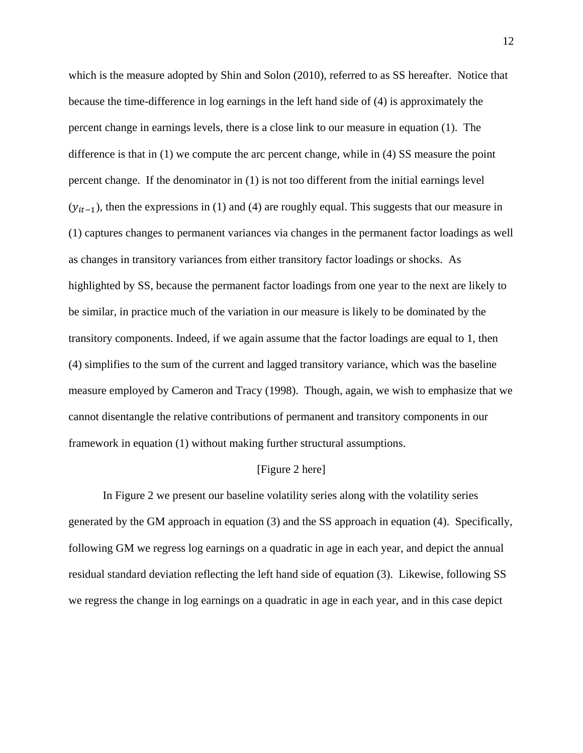which is the measure adopted by Shin and Solon (2010), referred to as SS hereafter. Notice that because the time-difference in log earnings in the left hand side of (4) is approximately the percent change in earnings levels, there is a close link to our measure in equation (1). The difference is that in (1) we compute the arc percent change, while in (4) SS measure the point percent change. If the denominator in (1) is not too different from the initial earnings level  $(y_{it-1})$ , then the expressions in (1) and (4) are roughly equal. This suggests that our measure in (1) captures changes to permanent variances via changes in the permanent factor loadings as well as changes in transitory variances from either transitory factor loadings or shocks. As highlighted by SS, because the permanent factor loadings from one year to the next are likely to be similar, in practice much of the variation in our measure is likely to be dominated by the transitory components. Indeed, if we again assume that the factor loadings are equal to 1, then (4) simplifies to the sum of the current and lagged transitory variance, which was the baseline measure employed by Cameron and Tracy (1998). Though, again, we wish to emphasize that we cannot disentangle the relative contributions of permanent and transitory components in our framework in equation (1) without making further structural assumptions.

#### [Figure 2 here]

 In Figure 2 we present our baseline volatility series along with the volatility series generated by the GM approach in equation (3) and the SS approach in equation (4). Specifically, following GM we regress log earnings on a quadratic in age in each year, and depict the annual residual standard deviation reflecting the left hand side of equation (3). Likewise, following SS we regress the change in log earnings on a quadratic in age in each year, and in this case depict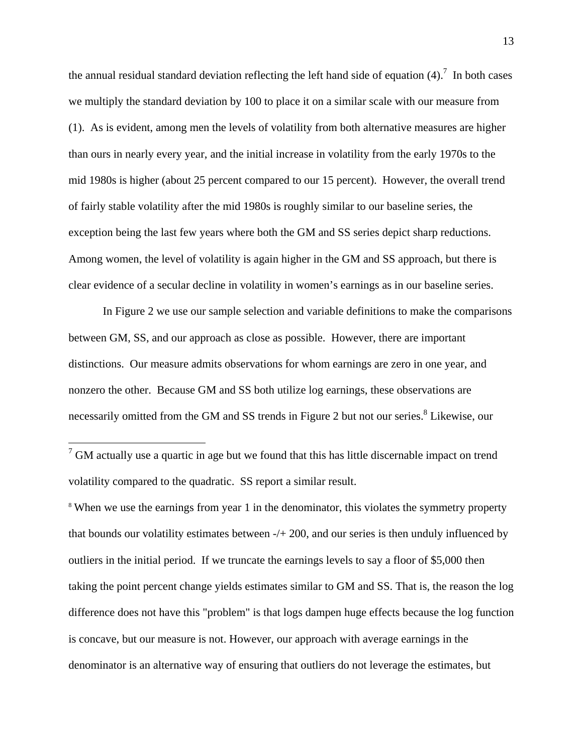the annual residual standard deviation reflecting the left hand side of equation  $(4)$ .<sup>7</sup> In both cases we multiply the standard deviation by 100 to place it on a similar scale with our measure from (1). As is evident, among men the levels of volatility from both alternative measures are higher than ours in nearly every year, and the initial increase in volatility from the early 1970s to the mid 1980s is higher (about 25 percent compared to our 15 percent). However, the overall trend of fairly stable volatility after the mid 1980s is roughly similar to our baseline series, the exception being the last few years where both the GM and SS series depict sharp reductions. Among women, the level of volatility is again higher in the GM and SS approach, but there is clear evidence of a secular decline in volatility in women's earnings as in our baseline series.

 In Figure 2 we use our sample selection and variable definitions to make the comparisons between GM, SS, and our approach as close as possible. However, there are important distinctions. Our measure admits observations for whom earnings are zero in one year, and nonzero the other. Because GM and SS both utilize log earnings, these observations are necessarily omitted from the GM and SS trends in Figure 2 but not our series.<sup>8</sup> Likewise, our

 $\overline{a}$ 

<sup>8</sup> When we use the earnings from year 1 in the denominator, this violates the symmetry property that bounds our volatility estimates between -/+ 200, and our series is then unduly influenced by outliers in the initial period. If we truncate the earnings levels to say a floor of \$5,000 then taking the point percent change yields estimates similar to GM and SS. That is, the reason the log difference does not have this "problem" is that logs dampen huge effects because the log function is concave, but our measure is not. However, our approach with average earnings in the denominator is an alternative way of ensuring that outliers do not leverage the estimates, but

 $7$  GM actually use a quartic in age but we found that this has little discernable impact on trend volatility compared to the quadratic. SS report a similar result.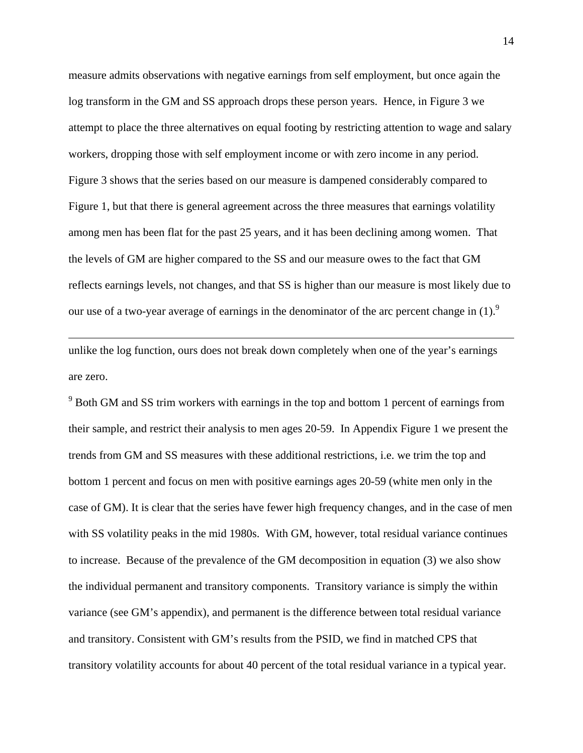measure admits observations with negative earnings from self employment, but once again the log transform in the GM and SS approach drops these person years. Hence, in Figure 3 we attempt to place the three alternatives on equal footing by restricting attention to wage and salary workers, dropping those with self employment income or with zero income in any period. Figure 3 shows that the series based on our measure is dampened considerably compared to Figure 1, but that there is general agreement across the three measures that earnings volatility among men has been flat for the past 25 years, and it has been declining among women. That the levels of GM are higher compared to the SS and our measure owes to the fact that GM reflects earnings levels, not changes, and that SS is higher than our measure is most likely due to our use of a two-year average of earnings in the denominator of the arc percent change in  $(1)$ .<sup>9</sup>

unlike the log function, ours does not break down completely when one of the year's earnings are zero.

 $\overline{a}$ 

 $9^9$  Both GM and SS trim workers with earnings in the top and bottom 1 percent of earnings from their sample, and restrict their analysis to men ages 20-59. In Appendix Figure 1 we present the trends from GM and SS measures with these additional restrictions, i.e. we trim the top and bottom 1 percent and focus on men with positive earnings ages 20-59 (white men only in the case of GM). It is clear that the series have fewer high frequency changes, and in the case of men with SS volatility peaks in the mid 1980s. With GM, however, total residual variance continues to increase. Because of the prevalence of the GM decomposition in equation (3) we also show the individual permanent and transitory components. Transitory variance is simply the within variance (see GM's appendix), and permanent is the difference between total residual variance and transitory. Consistent with GM's results from the PSID, we find in matched CPS that transitory volatility accounts for about 40 percent of the total residual variance in a typical year.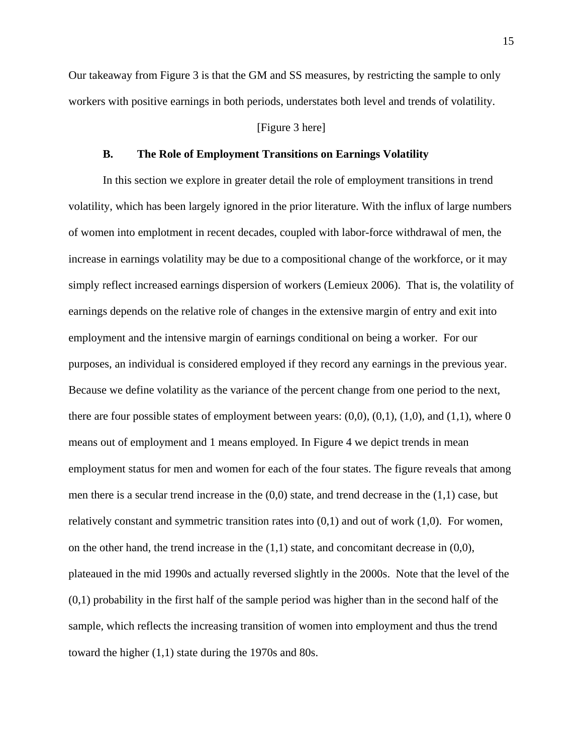Our takeaway from Figure 3 is that the GM and SS measures, by restricting the sample to only workers with positive earnings in both periods, understates both level and trends of volatility.

#### [Figure 3 here]

#### **B. The Role of Employment Transitions on Earnings Volatility**

In this section we explore in greater detail the role of employment transitions in trend volatility, which has been largely ignored in the prior literature. With the influx of large numbers of women into emplotment in recent decades, coupled with labor-force withdrawal of men, the increase in earnings volatility may be due to a compositional change of the workforce, or it may simply reflect increased earnings dispersion of workers (Lemieux 2006). That is, the volatility of earnings depends on the relative role of changes in the extensive margin of entry and exit into employment and the intensive margin of earnings conditional on being a worker. For our purposes, an individual is considered employed if they record any earnings in the previous year. Because we define volatility as the variance of the percent change from one period to the next, there are four possible states of employment between years:  $(0,0)$ ,  $(0,1)$ ,  $(1,0)$ , and  $(1,1)$ , where 0 means out of employment and 1 means employed. In Figure 4 we depict trends in mean employment status for men and women for each of the four states. The figure reveals that among men there is a secular trend increase in the  $(0,0)$  state, and trend decrease in the  $(1,1)$  case, but relatively constant and symmetric transition rates into  $(0,1)$  and out of work  $(1,0)$ . For women, on the other hand, the trend increase in the  $(1,1)$  state, and concomitant decrease in  $(0,0)$ , plateaued in the mid 1990s and actually reversed slightly in the 2000s. Note that the level of the  $(0,1)$  probability in the first half of the sample period was higher than in the second half of the sample, which reflects the increasing transition of women into employment and thus the trend toward the higher (1,1) state during the 1970s and 80s.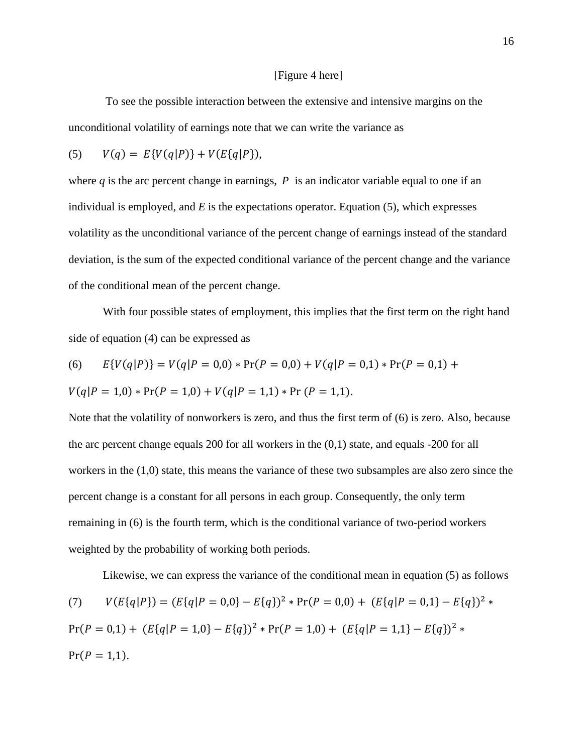#### [Figure 4 here]

 To see the possible interaction between the extensive and intensive margins on the unconditional volatility of earnings note that we can write the variance as

(5) 
$$
V(q) = E\{V(q|P)\} + V(E\{q|P\}),
$$

where  $q$  is the arc percent change in earnings,  $P$  is an indicator variable equal to one if an individual is employed, and *E* is the expectations operator. Equation (5), which expresses volatility as the unconditional variance of the percent change of earnings instead of the standard deviation, is the sum of the expected conditional variance of the percent change and the variance of the conditional mean of the percent change.

With four possible states of employment, this implies that the first term on the right hand side of equation (4) can be expressed as

(6) 
$$
E\{V(q|P)\}=V(q|P=0,0)*Pr(P=0,0)+V(q|P=0,1)*Pr(P=0,1)
$$

$$
V(q|P=1,0) * Pr(P=1,0) + V(q|P=1,1) * Pr(P=1,1).
$$

Note that the volatility of nonworkers is zero, and thus the first term of (6) is zero. Also, because the arc percent change equals 200 for all workers in the (0,1) state, and equals -200 for all workers in the (1,0) state, this means the variance of these two subsamples are also zero since the percent change is a constant for all persons in each group. Consequently, the only term remaining in (6) is the fourth term, which is the conditional variance of two-period workers weighted by the probability of working both periods.

Likewise, we can express the variance of the conditional mean in equation (5) as follows

(7) 
$$
V(E{q|P}) = (E{q|P = 0,0} - E{q})^2 * Pr(P = 0,0) + (E{q|P = 0,1} - E{q})^2 * Pr(P = 0,1) + (E{q|P = 1,0} - E{q})^2 * Pr(P = 1,0) + (E{q|P = 1,1} - E{q})^2 * Pr(P = 1,1).
$$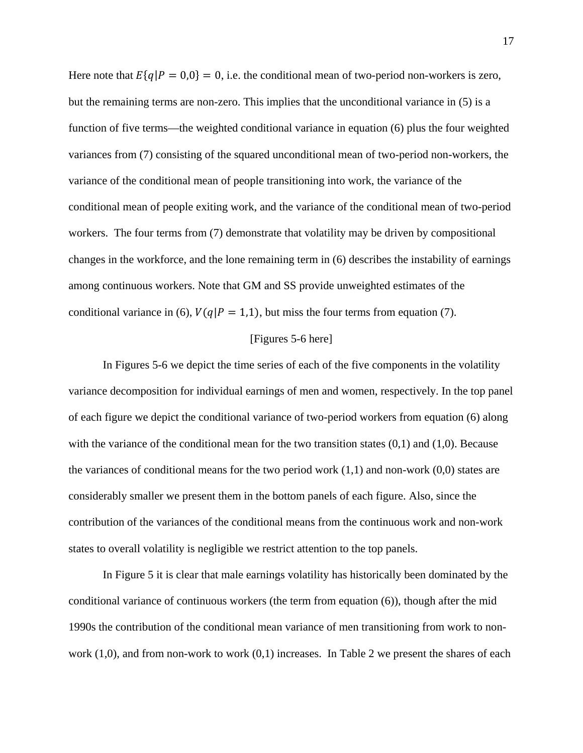Here note that  $E\{q|P = 0,0\} = 0$ , i.e. the conditional mean of two-period non-workers is zero, but the remaining terms are non-zero. This implies that the unconditional variance in (5) is a function of five terms—the weighted conditional variance in equation (6) plus the four weighted variances from (7) consisting of the squared unconditional mean of two-period non-workers, the variance of the conditional mean of people transitioning into work, the variance of the conditional mean of people exiting work, and the variance of the conditional mean of two-period workers. The four terms from (7) demonstrate that volatility may be driven by compositional changes in the workforce, and the lone remaining term in (6) describes the instability of earnings among continuous workers. Note that GM and SS provide unweighted estimates of the conditional variance in (6),  $V(q|P = 1,1)$ , but miss the four terms from equation (7).

#### [Figures 5-6 here]

In Figures 5-6 we depict the time series of each of the five components in the volatility variance decomposition for individual earnings of men and women, respectively. In the top panel of each figure we depict the conditional variance of two-period workers from equation (6) along with the variance of the conditional mean for the two transition states  $(0,1)$  and  $(1,0)$ . Because the variances of conditional means for the two period work  $(1,1)$  and non-work  $(0,0)$  states are considerably smaller we present them in the bottom panels of each figure. Also, since the contribution of the variances of the conditional means from the continuous work and non-work states to overall volatility is negligible we restrict attention to the top panels.

In Figure 5 it is clear that male earnings volatility has historically been dominated by the conditional variance of continuous workers (the term from equation (6)), though after the mid 1990s the contribution of the conditional mean variance of men transitioning from work to nonwork  $(1,0)$ , and from non-work to work  $(0,1)$  increases. In Table 2 we present the shares of each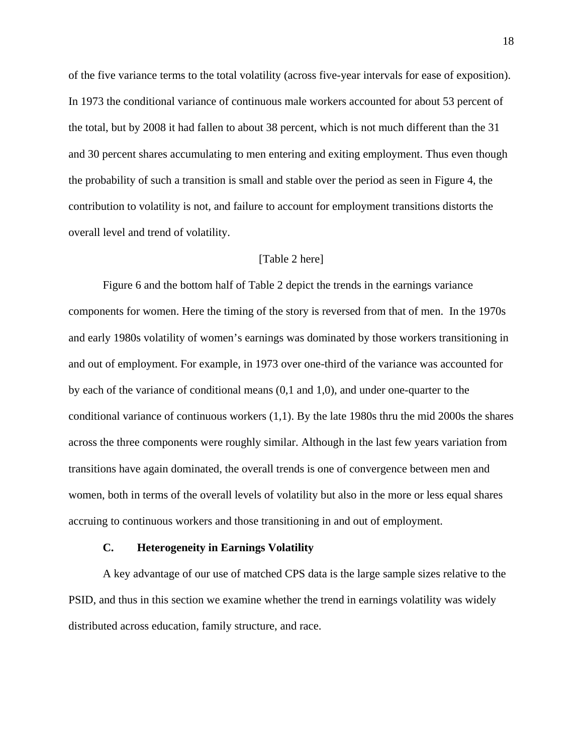of the five variance terms to the total volatility (across five-year intervals for ease of exposition). In 1973 the conditional variance of continuous male workers accounted for about 53 percent of the total, but by 2008 it had fallen to about 38 percent, which is not much different than the 31 and 30 percent shares accumulating to men entering and exiting employment. Thus even though the probability of such a transition is small and stable over the period as seen in Figure 4, the contribution to volatility is not, and failure to account for employment transitions distorts the overall level and trend of volatility.

#### [Table 2 here]

Figure 6 and the bottom half of Table 2 depict the trends in the earnings variance components for women. Here the timing of the story is reversed from that of men. In the 1970s and early 1980s volatility of women's earnings was dominated by those workers transitioning in and out of employment. For example, in 1973 over one-third of the variance was accounted for by each of the variance of conditional means (0,1 and 1,0), and under one-quarter to the conditional variance of continuous workers (1,1). By the late 1980s thru the mid 2000s the shares across the three components were roughly similar. Although in the last few years variation from transitions have again dominated, the overall trends is one of convergence between men and women, both in terms of the overall levels of volatility but also in the more or less equal shares accruing to continuous workers and those transitioning in and out of employment.

#### **C. Heterogeneity in Earnings Volatility**

A key advantage of our use of matched CPS data is the large sample sizes relative to the PSID, and thus in this section we examine whether the trend in earnings volatility was widely distributed across education, family structure, and race.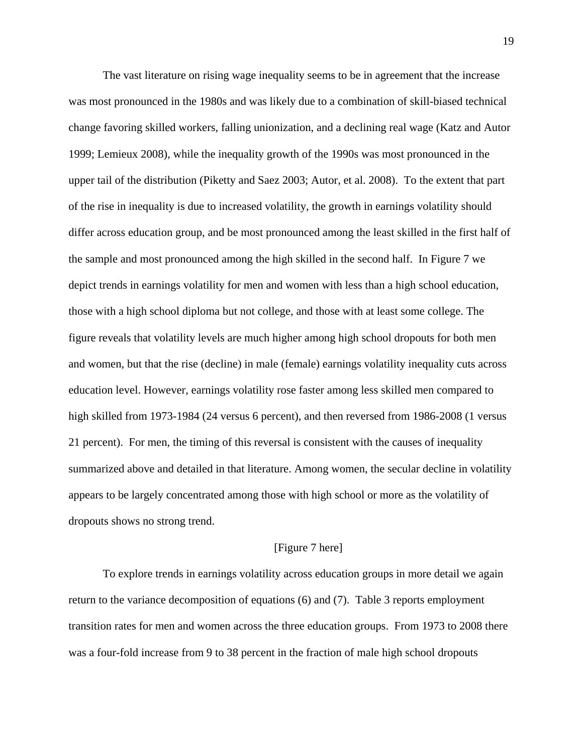The vast literature on rising wage inequality seems to be in agreement that the increase was most pronounced in the 1980s and was likely due to a combination of skill-biased technical change favoring skilled workers, falling unionization, and a declining real wage (Katz and Autor 1999; Lemieux 2008), while the inequality growth of the 1990s was most pronounced in the upper tail of the distribution (Piketty and Saez 2003; Autor, et al. 2008). To the extent that part of the rise in inequality is due to increased volatility, the growth in earnings volatility should differ across education group, and be most pronounced among the least skilled in the first half of the sample and most pronounced among the high skilled in the second half. In Figure 7 we depict trends in earnings volatility for men and women with less than a high school education, those with a high school diploma but not college, and those with at least some college. The figure reveals that volatility levels are much higher among high school dropouts for both men and women, but that the rise (decline) in male (female) earnings volatility inequality cuts across education level. However, earnings volatility rose faster among less skilled men compared to high skilled from 1973-1984 (24 versus 6 percent), and then reversed from 1986-2008 (1 versus 21 percent). For men, the timing of this reversal is consistent with the causes of inequality summarized above and detailed in that literature. Among women, the secular decline in volatility appears to be largely concentrated among those with high school or more as the volatility of dropouts shows no strong trend.

#### [Figure 7 here]

To explore trends in earnings volatility across education groups in more detail we again return to the variance decomposition of equations (6) and (7). Table 3 reports employment transition rates for men and women across the three education groups. From 1973 to 2008 there was a four-fold increase from 9 to 38 percent in the fraction of male high school dropouts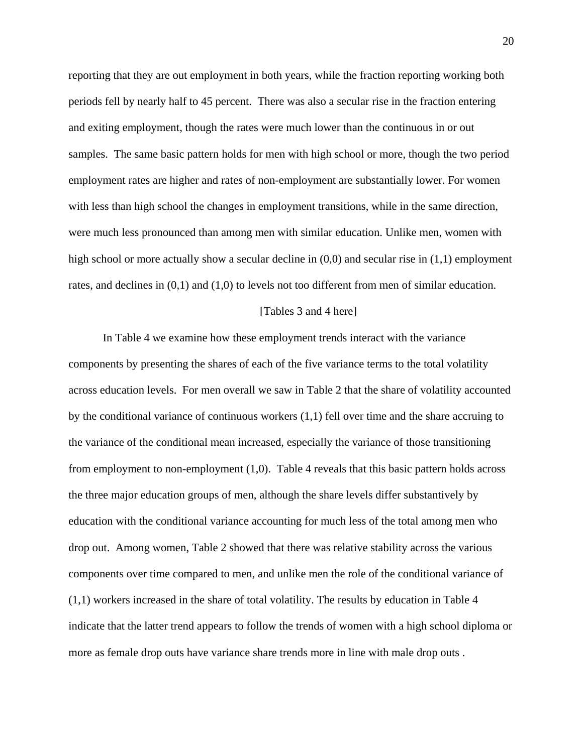reporting that they are out employment in both years, while the fraction reporting working both periods fell by nearly half to 45 percent. There was also a secular rise in the fraction entering and exiting employment, though the rates were much lower than the continuous in or out samples. The same basic pattern holds for men with high school or more, though the two period employment rates are higher and rates of non-employment are substantially lower. For women with less than high school the changes in employment transitions, while in the same direction, were much less pronounced than among men with similar education. Unlike men, women with high school or more actually show a secular decline in  $(0,0)$  and secular rise in  $(1,1)$  employment rates, and declines in (0,1) and (1,0) to levels not too different from men of similar education.

#### [Tables 3 and 4 here]

In Table 4 we examine how these employment trends interact with the variance components by presenting the shares of each of the five variance terms to the total volatility across education levels. For men overall we saw in Table 2 that the share of volatility accounted by the conditional variance of continuous workers (1,1) fell over time and the share accruing to the variance of the conditional mean increased, especially the variance of those transitioning from employment to non-employment (1,0). Table 4 reveals that this basic pattern holds across the three major education groups of men, although the share levels differ substantively by education with the conditional variance accounting for much less of the total among men who drop out. Among women, Table 2 showed that there was relative stability across the various components over time compared to men, and unlike men the role of the conditional variance of (1,1) workers increased in the share of total volatility. The results by education in Table 4 indicate that the latter trend appears to follow the trends of women with a high school diploma or more as female drop outs have variance share trends more in line with male drop outs .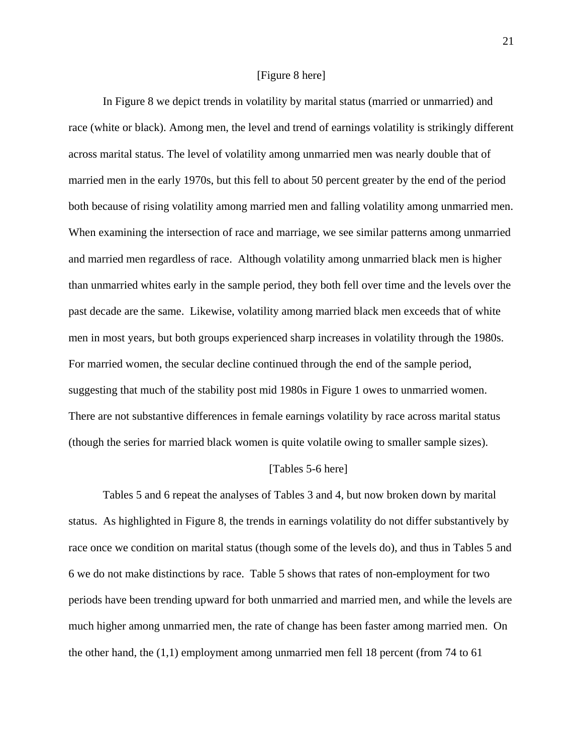#### [Figure 8 here]

In Figure 8 we depict trends in volatility by marital status (married or unmarried) and race (white or black). Among men, the level and trend of earnings volatility is strikingly different across marital status. The level of volatility among unmarried men was nearly double that of married men in the early 1970s, but this fell to about 50 percent greater by the end of the period both because of rising volatility among married men and falling volatility among unmarried men. When examining the intersection of race and marriage, we see similar patterns among unmarried and married men regardless of race. Although volatility among unmarried black men is higher than unmarried whites early in the sample period, they both fell over time and the levels over the past decade are the same. Likewise, volatility among married black men exceeds that of white men in most years, but both groups experienced sharp increases in volatility through the 1980s. For married women, the secular decline continued through the end of the sample period, suggesting that much of the stability post mid 1980s in Figure 1 owes to unmarried women. There are not substantive differences in female earnings volatility by race across marital status (though the series for married black women is quite volatile owing to smaller sample sizes).

#### [Tables 5-6 here]

Tables 5 and 6 repeat the analyses of Tables 3 and 4, but now broken down by marital status. As highlighted in Figure 8, the trends in earnings volatility do not differ substantively by race once we condition on marital status (though some of the levels do), and thus in Tables 5 and 6 we do not make distinctions by race. Table 5 shows that rates of non-employment for two periods have been trending upward for both unmarried and married men, and while the levels are much higher among unmarried men, the rate of change has been faster among married men. On the other hand, the (1,1) employment among unmarried men fell 18 percent (from 74 to 61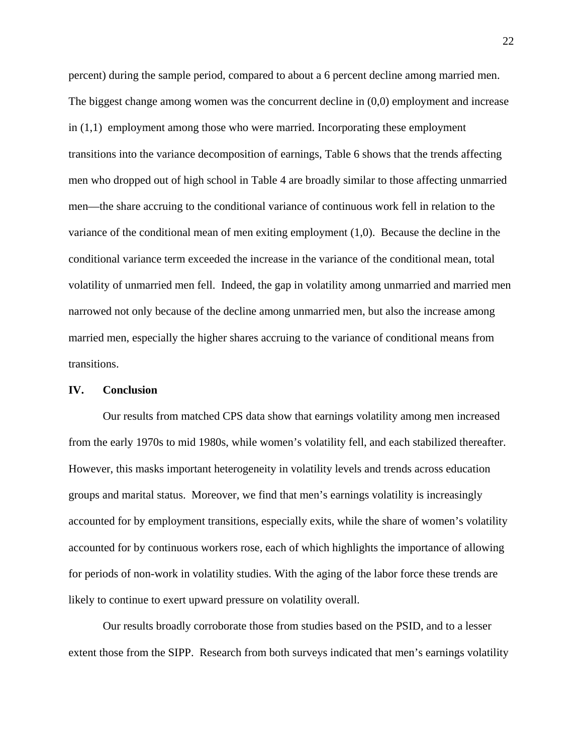percent) during the sample period, compared to about a 6 percent decline among married men. The biggest change among women was the concurrent decline in (0,0) employment and increase in (1,1) employment among those who were married. Incorporating these employment transitions into the variance decomposition of earnings, Table 6 shows that the trends affecting men who dropped out of high school in Table 4 are broadly similar to those affecting unmarried men—the share accruing to the conditional variance of continuous work fell in relation to the variance of the conditional mean of men exiting employment (1,0). Because the decline in the conditional variance term exceeded the increase in the variance of the conditional mean, total volatility of unmarried men fell. Indeed, the gap in volatility among unmarried and married men narrowed not only because of the decline among unmarried men, but also the increase among married men, especially the higher shares accruing to the variance of conditional means from transitions.

#### **IV. Conclusion**

Our results from matched CPS data show that earnings volatility among men increased from the early 1970s to mid 1980s, while women's volatility fell, and each stabilized thereafter. However, this masks important heterogeneity in volatility levels and trends across education groups and marital status. Moreover, we find that men's earnings volatility is increasingly accounted for by employment transitions, especially exits, while the share of women's volatility accounted for by continuous workers rose, each of which highlights the importance of allowing for periods of non-work in volatility studies. With the aging of the labor force these trends are likely to continue to exert upward pressure on volatility overall.

Our results broadly corroborate those from studies based on the PSID, and to a lesser extent those from the SIPP. Research from both surveys indicated that men's earnings volatility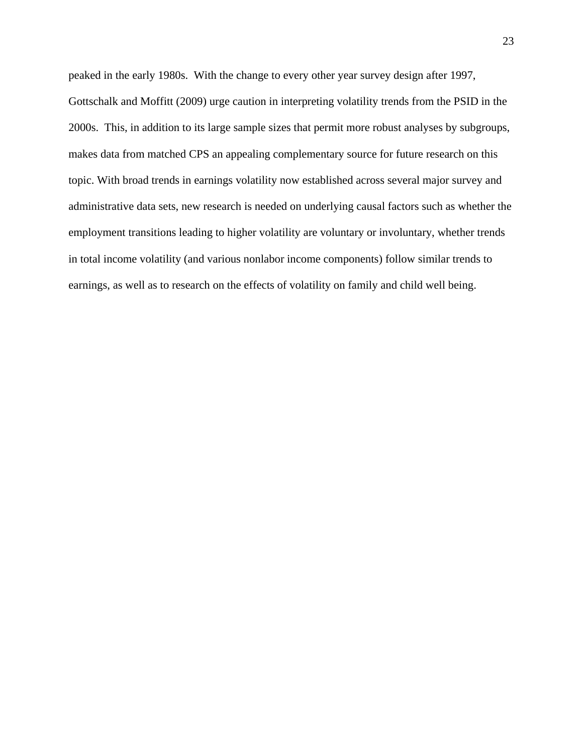peaked in the early 1980s. With the change to every other year survey design after 1997, Gottschalk and Moffitt (2009) urge caution in interpreting volatility trends from the PSID in the 2000s. This, in addition to its large sample sizes that permit more robust analyses by subgroups, makes data from matched CPS an appealing complementary source for future research on this topic. With broad trends in earnings volatility now established across several major survey and administrative data sets, new research is needed on underlying causal factors such as whether the employment transitions leading to higher volatility are voluntary or involuntary, whether trends in total income volatility (and various nonlabor income components) follow similar trends to earnings, as well as to research on the effects of volatility on family and child well being.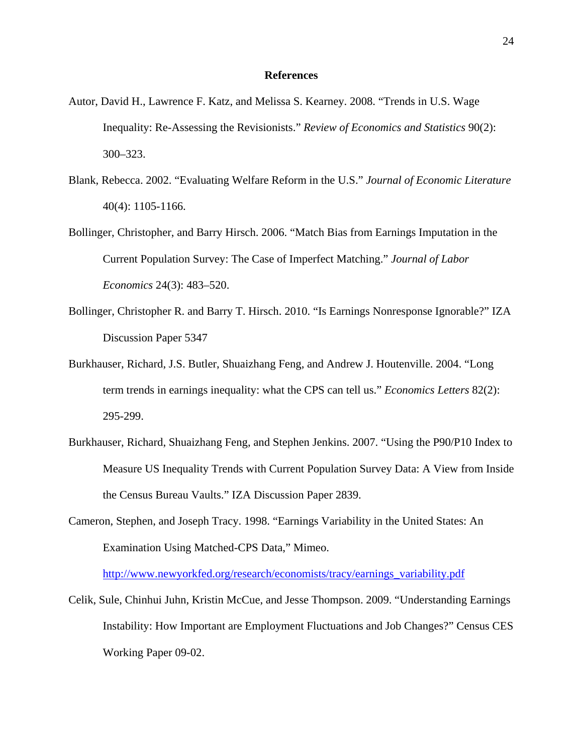#### **References**

- Autor, David H., Lawrence F. Katz, and Melissa S. Kearney. 2008. "Trends in U.S. Wage Inequality: Re-Assessing the Revisionists." *Review of Economics and Statistics* 90(2): 300–323.
- Blank, Rebecca. 2002. "Evaluating Welfare Reform in the U.S." *Journal of Economic Literature* 40(4): 1105-1166.
- Bollinger, Christopher, and Barry Hirsch. 2006. "Match Bias from Earnings Imputation in the Current Population Survey: The Case of Imperfect Matching." *Journal of Labor Economics* 24(3): 483–520.
- Bollinger, Christopher R. and Barry T. Hirsch. 2010. "Is Earnings Nonresponse Ignorable?" IZA Discussion Paper 5347
- Burkhauser, Richard, J.S. Butler, Shuaizhang Feng, and Andrew J. Houtenville. 2004. "Long term trends in earnings inequality: what the CPS can tell us." *Economics Letters* 82(2): 295-299.
- Burkhauser, Richard, Shuaizhang Feng, and Stephen Jenkins. 2007. "Using the P90/P10 Index to Measure US Inequality Trends with Current Population Survey Data: A View from Inside the Census Bureau Vaults." IZA Discussion Paper 2839.
- Cameron, Stephen, and Joseph Tracy. 1998. "Earnings Variability in the United States: An Examination Using Matched-CPS Data," Mimeo.

http://www.newyorkfed.org/research/economists/tracy/earnings\_variability.pdf

Celik, Sule, Chinhui Juhn, Kristin McCue, and Jesse Thompson. 2009. "Understanding Earnings Instability: How Important are Employment Fluctuations and Job Changes?" Census CES Working Paper 09-02.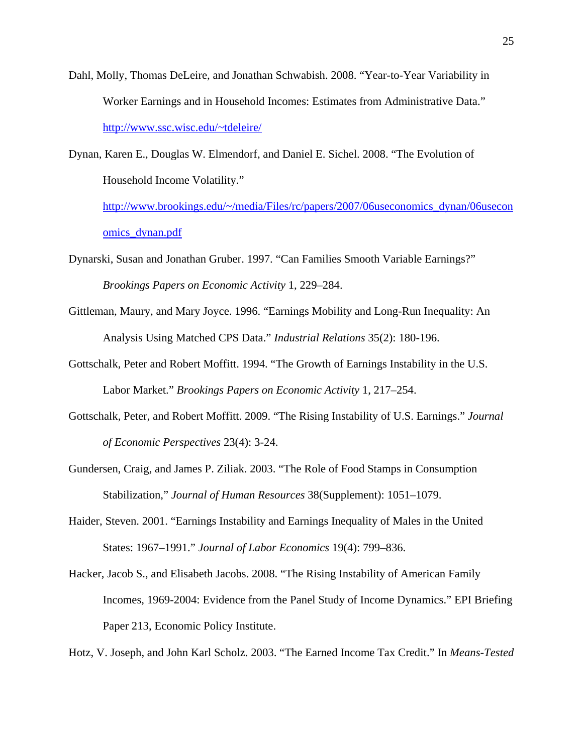Dahl, Molly, Thomas DeLeire, and Jonathan Schwabish. 2008. "Year-to-Year Variability in Worker Earnings and in Household Incomes: Estimates from Administrative Data." http://www.ssc.wisc.edu/~tdeleire/

Dynan, Karen E., Douglas W. Elmendorf, and Daniel E. Sichel. 2008. "The Evolution of Household Income Volatility."

http://www.brookings.edu/~/media/Files/rc/papers/2007/06useconomics\_dynan/06usecon omics\_dynan.pdf

- Dynarski, Susan and Jonathan Gruber. 1997. "Can Families Smooth Variable Earnings?" *Brookings Papers on Economic Activity* 1, 229–284.
- Gittleman, Maury, and Mary Joyce. 1996. "Earnings Mobility and Long-Run Inequality: An Analysis Using Matched CPS Data." *Industrial Relations* 35(2): 180-196.
- Gottschalk, Peter and Robert Moffitt. 1994. "The Growth of Earnings Instability in the U.S. Labor Market." *Brookings Papers on Economic Activity* 1, 217–254.
- Gottschalk, Peter, and Robert Moffitt. 2009. "The Rising Instability of U.S. Earnings." *Journal of Economic Perspectives* 23(4): 3-24.
- Gundersen, Craig, and James P. Ziliak. 2003. "The Role of Food Stamps in Consumption Stabilization," *Journal of Human Resources* 38(Supplement): 1051–1079.
- Haider, Steven. 2001. "Earnings Instability and Earnings Inequality of Males in the United States: 1967–1991." *Journal of Labor Economics* 19(4): 799–836.
- Hacker, Jacob S., and Elisabeth Jacobs. 2008. "The Rising Instability of American Family Incomes, 1969-2004: Evidence from the Panel Study of Income Dynamics." EPI Briefing Paper 213, Economic Policy Institute.

Hotz, V. Joseph, and John Karl Scholz. 2003. "The Earned Income Tax Credit." In *Means-Tested*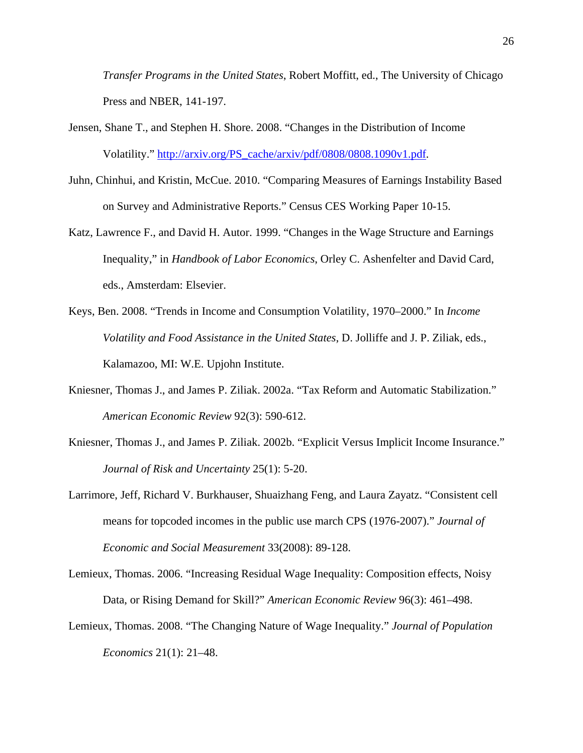*Transfer Programs in the United States*, Robert Moffitt, ed., The University of Chicago Press and NBER, 141-197.

- Jensen, Shane T., and Stephen H. Shore. 2008. "Changes in the Distribution of Income Volatility." http://arxiv.org/PS\_cache/arxiv/pdf/0808/0808.1090v1.pdf.
- Juhn, Chinhui, and Kristin, McCue. 2010. "Comparing Measures of Earnings Instability Based on Survey and Administrative Reports." Census CES Working Paper 10-15.
- Katz, Lawrence F., and David H. Autor. 1999. "Changes in the Wage Structure and Earnings Inequality," in *Handbook of Labor Economics*, Orley C. Ashenfelter and David Card, eds., Amsterdam: Elsevier.
- Keys, Ben. 2008. "Trends in Income and Consumption Volatility, 1970–2000." In *Income Volatility and Food Assistance in the United States*, D. Jolliffe and J. P. Ziliak, eds., Kalamazoo, MI: W.E. Upjohn Institute.
- Kniesner, Thomas J., and James P. Ziliak. 2002a. "Tax Reform and Automatic Stabilization." *American Economic Review* 92(3): 590-612.
- Kniesner, Thomas J., and James P. Ziliak. 2002b. "Explicit Versus Implicit Income Insurance." *Journal of Risk and Uncertainty* 25(1): 5-20.
- Larrimore, Jeff, Richard V. Burkhauser, Shuaizhang Feng, and Laura Zayatz. "Consistent cell means for topcoded incomes in the public use march CPS (1976-2007)." *Journal of Economic and Social Measurement* 33(2008): 89-128.
- Lemieux, Thomas. 2006. "Increasing Residual Wage Inequality: Composition effects, Noisy Data, or Rising Demand for Skill?" *American Economic Review* 96(3): 461–498.
- Lemieux, Thomas. 2008. "The Changing Nature of Wage Inequality." *Journal of Population Economics* 21(1): 21–48.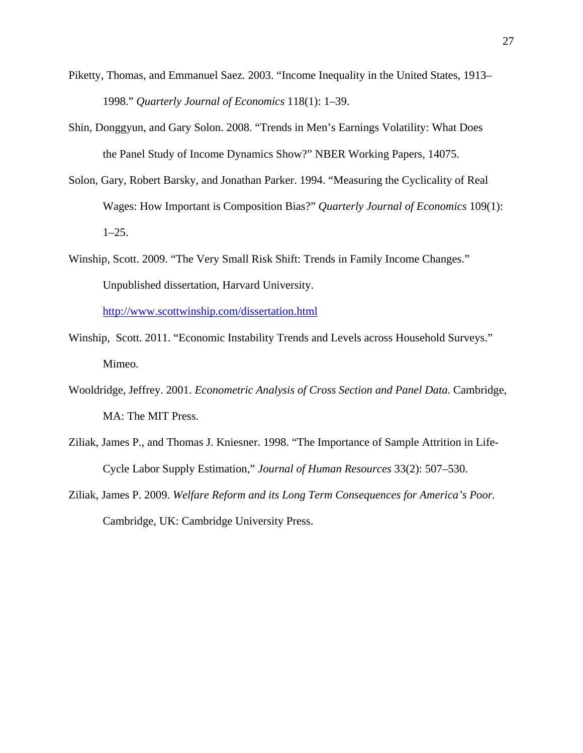- Piketty, Thomas, and Emmanuel Saez. 2003. "Income Inequality in the United States, 1913– 1998." *Quarterly Journal of Economics* 118(1): 1–39.
- Shin, Donggyun, and Gary Solon. 2008. "Trends in Men's Earnings Volatility: What Does the Panel Study of Income Dynamics Show?" NBER Working Papers, 14075.
- Solon, Gary, Robert Barsky, and Jonathan Parker. 1994. "Measuring the Cyclicality of Real Wages: How Important is Composition Bias?" *Quarterly Journal of Economics* 109(1):  $1-25.$
- Winship, Scott. 2009. "The Very Small Risk Shift: Trends in Family Income Changes." Unpublished dissertation, Harvard University.

http://www.scottwinship.com/dissertation.html

- Winship, Scott. 2011. "Economic Instability Trends and Levels across Household Surveys." Mimeo.
- Wooldridge, Jeffrey. 2001. *Econometric Analysis of Cross Section and Panel Data*. Cambridge, MA: The MIT Press.
- Ziliak, James P., and Thomas J. Kniesner. 1998. "The Importance of Sample Attrition in Life-Cycle Labor Supply Estimation," *Journal of Human Resources* 33(2): 507–530.
- Ziliak, James P. 2009. *Welfare Reform and its Long Term Consequences for America's Poor.*  Cambridge, UK: Cambridge University Press.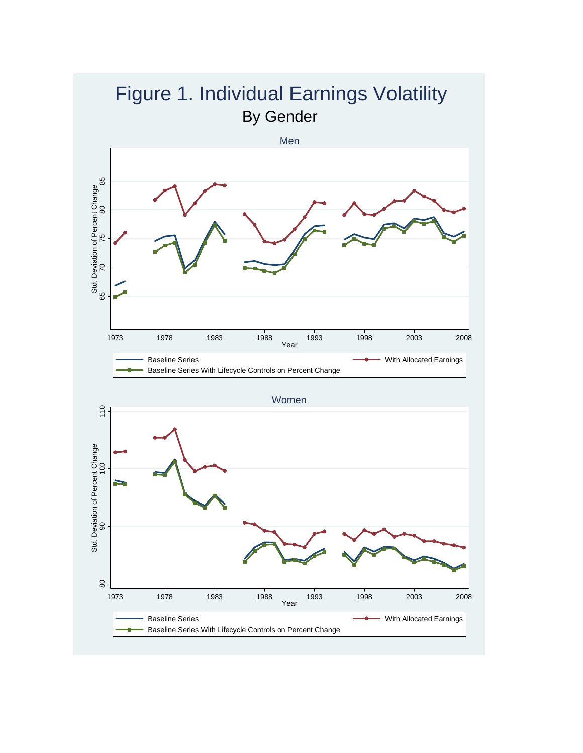

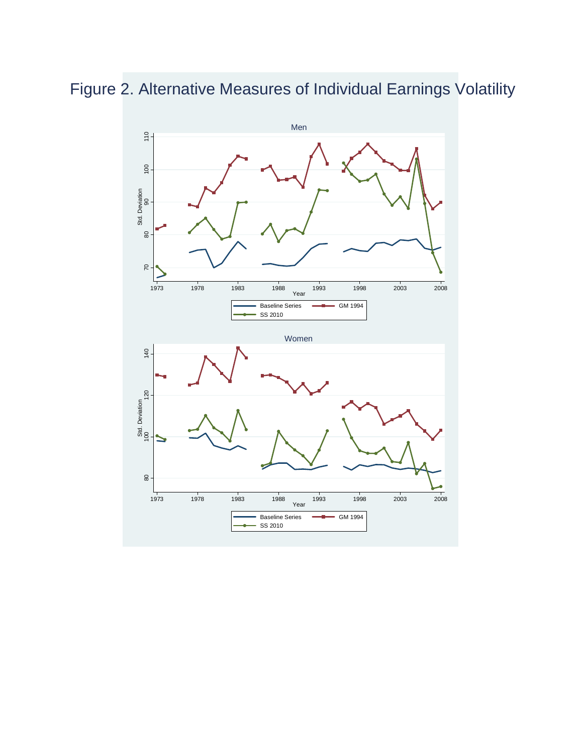Figure 2. Alternative Measures of Individual Earnings Volatility

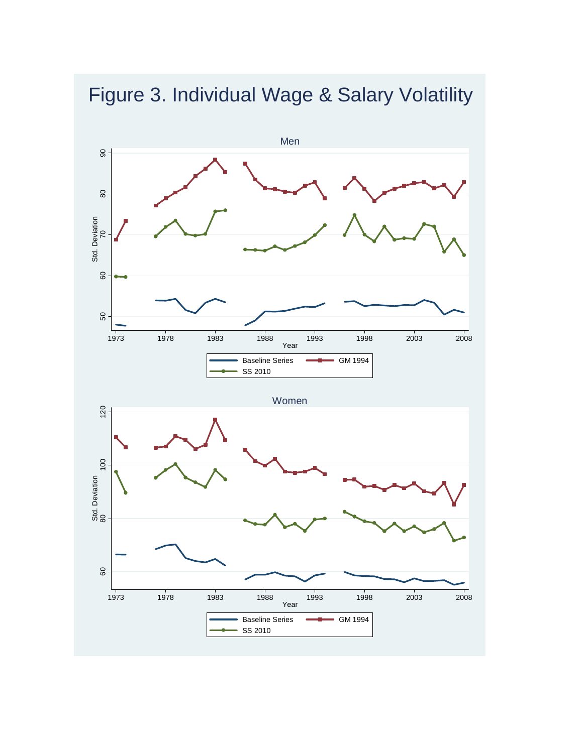

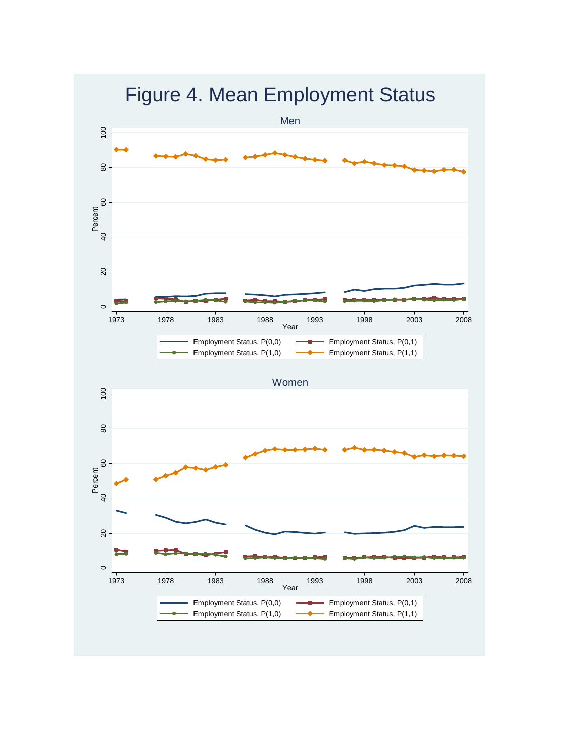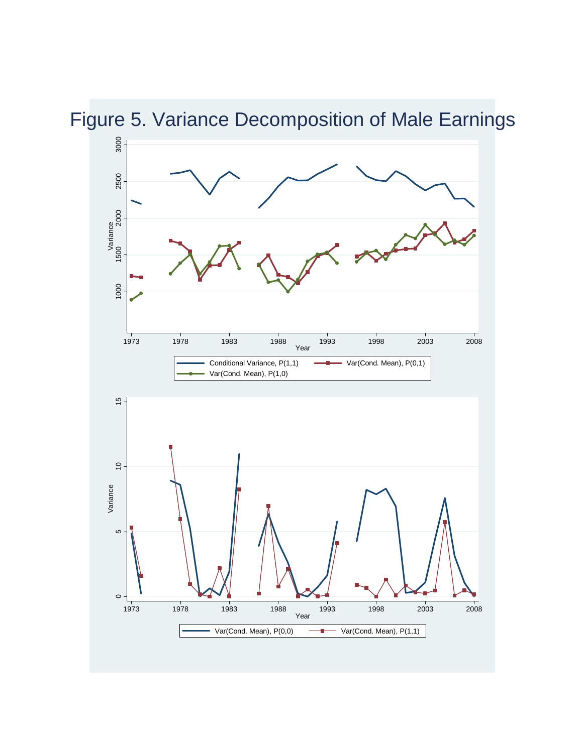Figure 5. Variance Decomposition of Male Earnings

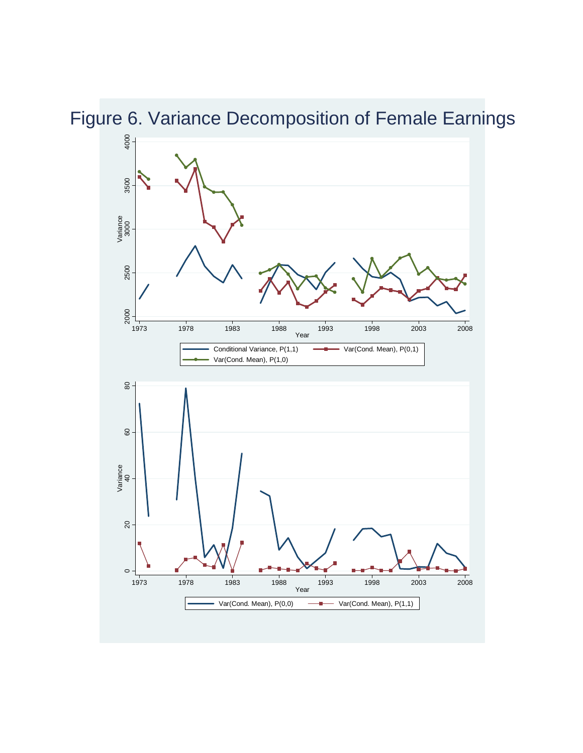Figure 6. Variance Decomposition of Female Earnings

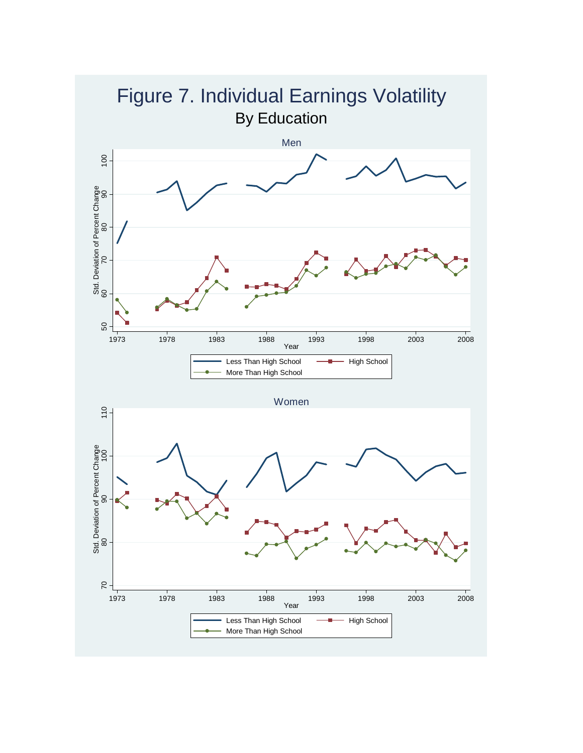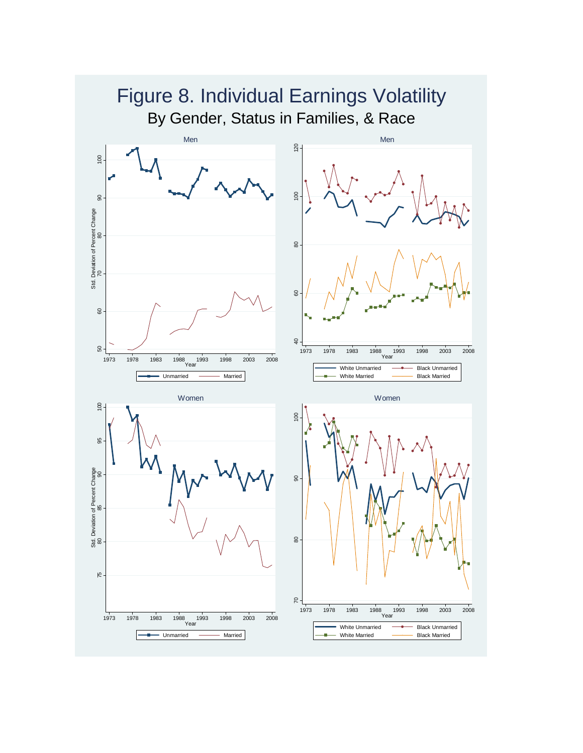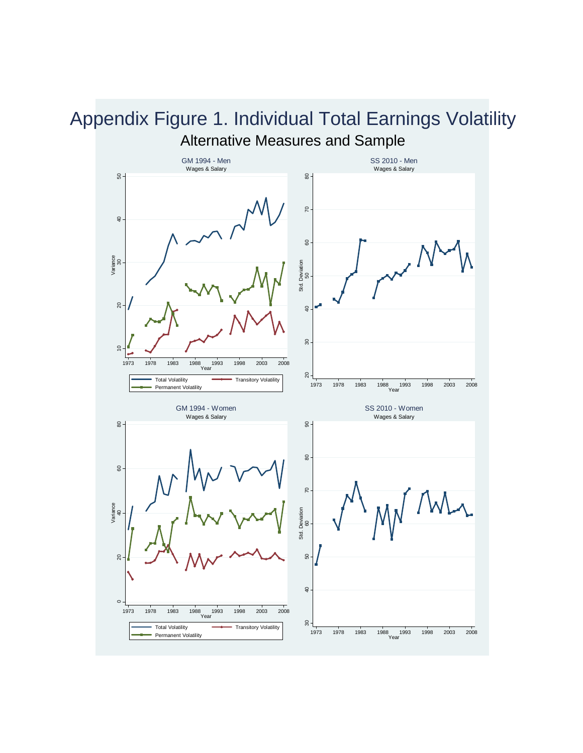#### Alternative Measures and Sample GM 1994 - Men SS 2010 - Men Wages & Salary Wages & Salary  $\frac{8}{6}$  $50 -$ 10 20 30 40 50 20 30 40 50 60 70 80  $\approx$  $\overline{4}$  $\mbox{ }^\odot$ Variance Deviation<br>50 Std. Deviation Std.  $\overline{20}$  $\overline{40}$  $\approx$  $\overline{c}$ 1973 1978 1983 1988 1993 1998 2003 2008<br>Year  $\approx -$ Total Volatility **Transitory Volatility** <sup>1973</sup> <sup>1978</sup> <sup>1983</sup> <sup>1988</sup> <sup>1993</sup> <sup>1998</sup> <sup>2003</sup> <sup>2008</sup> Year Permanent Volatility GM 1994 - Women SS 2010 - Women Wages & Salary Wages & Salary  $\frac{8}{10}$  $8 -$  20 40 60 80 30 40 50 60 70 80 90  $\pmb{\mathbb{S}}$ 8  $\mathcal{R}$ Variance Std. Deviation<br>60 Std. Deviation  $50\,$  $\overline{20}$  $\overline{a}$  $\circ$ 1973 1978 1983 1988 1993 1998 2003 2008<br>Year  $\frac{8}{3}$ Total Volatility **Transitory Volatility** Permanent Volatility 1973 1978 1983 1988 1993 1998 2003 2008 Year

# Appendix Figure 1. Individual Total Earnings Volatility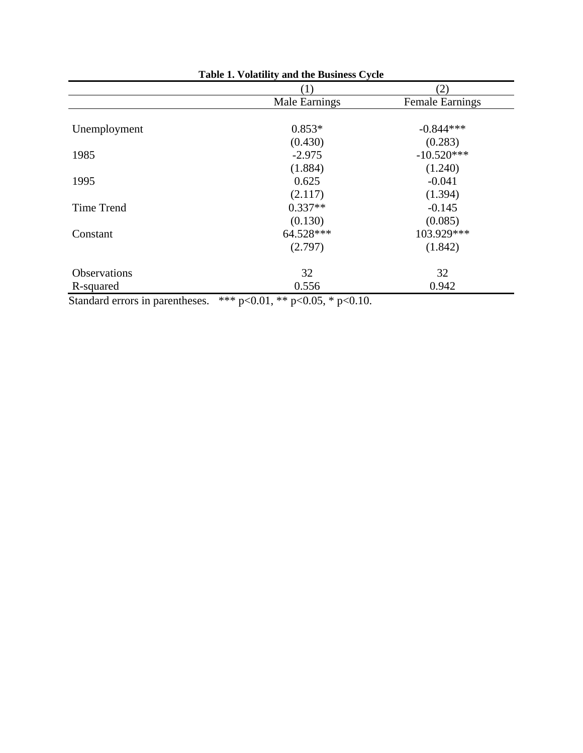| Table 1. Volatility and the Business Cycle |               |                        |  |  |  |
|--------------------------------------------|---------------|------------------------|--|--|--|
|                                            | (1)           | (2)                    |  |  |  |
|                                            | Male Earnings | <b>Female Earnings</b> |  |  |  |
| Unemployment                               | $0.853*$      | $-0.844***$            |  |  |  |
|                                            | (0.430)       | (0.283)                |  |  |  |
| 1985                                       | $-2.975$      | $-10.520***$           |  |  |  |
|                                            | (1.884)       | (1.240)                |  |  |  |
| 1995                                       | 0.625         | $-0.041$               |  |  |  |
|                                            | (2.117)       | (1.394)                |  |  |  |
| <b>Time Trend</b>                          | $0.337**$     | $-0.145$               |  |  |  |
|                                            | (0.130)       | (0.085)                |  |  |  |
| Constant                                   | 64.528***     | 103.929***             |  |  |  |
|                                            | (2.797)       | (1.842)                |  |  |  |
| <b>Observations</b>                        | 32            | 32                     |  |  |  |
| R-squared                                  | 0.556         | 0.942                  |  |  |  |

Standard errors in parentheses. \*\*\* p<0.01, \*\* p<0.05, \* p<0.10.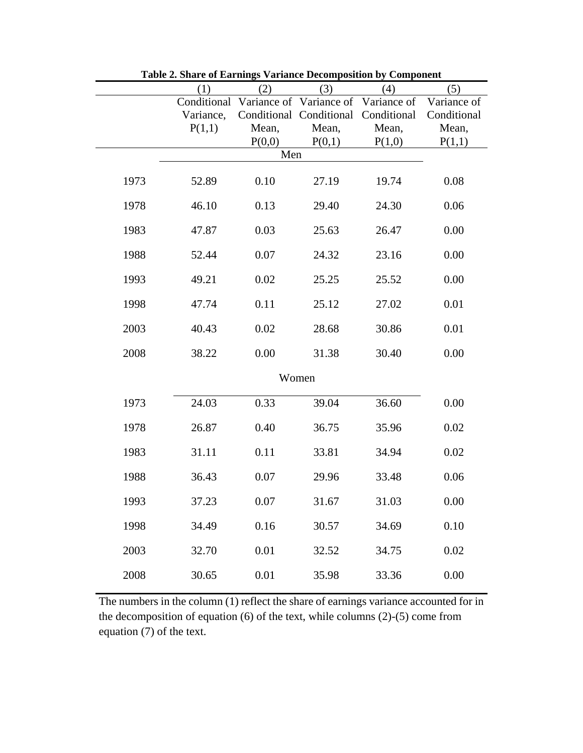|      | (1)         | (2)      | (3)                                 | (4)         | (5)         |
|------|-------------|----------|-------------------------------------|-------------|-------------|
|      | Conditional |          | Variance of Variance of Variance of |             | Variance of |
|      | Variance,   |          | Conditional Conditional             | Conditional | Conditional |
|      | P(1,1)      | Mean,    | Mean,                               | Mean,       | Mean,       |
|      |             | P(0,0)   | P(0,1)                              | P(1,0)      | P(1,1)      |
|      |             | Men      |                                     |             |             |
| 1973 | 52.89       | 0.10     | 27.19                               | 19.74       | 0.08        |
| 1978 | 46.10       | 0.13     | 29.40                               | 24.30       | 0.06        |
| 1983 | 47.87       | 0.03     | 25.63                               | 26.47       | 0.00        |
| 1988 | 52.44       | 0.07     | 24.32                               | 23.16       | 0.00        |
| 1993 | 49.21       | 0.02     | 25.25                               | 25.52       | 0.00        |
| 1998 | 47.74       | 0.11     | 25.12                               | 27.02       | 0.01        |
| 2003 | 40.43       | 0.02     | 28.68                               | 30.86       | 0.01        |
| 2008 | 38.22       | 0.00     | 31.38                               | 30.40       | 0.00        |
|      |             |          | Women                               |             |             |
| 1973 | 24.03       | 0.33     | 39.04                               | 36.60       | 0.00        |
| 1978 | 26.87       | 0.40     | 36.75                               | 35.96       | 0.02        |
| 1983 | 31.11       | 0.11     | 33.81                               | 34.94       | 0.02        |
| 1988 | 36.43       | 0.07     | 29.96                               | 33.48       | 0.06        |
| 1993 | 37.23       | 0.07     | 31.67                               | 31.03       | 0.00        |
| 1998 | 34.49       | 0.16     | 30.57                               | 34.69       | 0.10        |
| 2003 | 32.70       | $0.01\,$ | 32.52                               | 34.75       | 0.02        |
| 2008 | 30.65       | 0.01     | 35.98                               | 33.36       | 0.00        |

**Table 2. Share of Earnings Variance Decomposition by Component**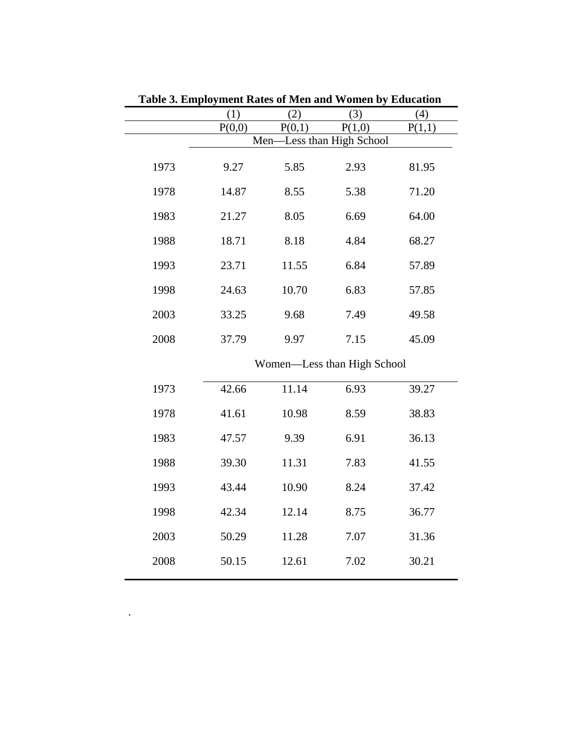|      | (1)    | (2)    | (3)                         | (4)    |
|------|--------|--------|-----------------------------|--------|
|      | P(0,0) | P(0,1) | P(1,0)                      | P(1,1) |
|      | Men-   |        | -Less than High School      |        |
| 1973 | 9.27   | 5.85   | 2.93                        | 81.95  |
| 1978 | 14.87  | 8.55   | 5.38                        | 71.20  |
| 1983 | 21.27  | 8.05   | 6.69                        | 64.00  |
| 1988 | 18.71  | 8.18   | 4.84                        | 68.27  |
| 1993 | 23.71  | 11.55  | 6.84                        | 57.89  |
| 1998 | 24.63  | 10.70  | 6.83                        | 57.85  |
| 2003 | 33.25  | 9.68   | 7.49                        | 49.58  |
| 2008 | 37.79  | 9.97   | 7.15                        | 45.09  |
|      |        |        | Women-Less than High School |        |
| 1973 | 42.66  | 11.14  | 6.93                        | 39.27  |
| 1978 | 41.61  | 10.98  | 8.59                        | 38.83  |
| 1983 | 47.57  | 9.39   | 6.91                        | 36.13  |
| 1988 | 39.30  | 11.31  | 7.83                        | 41.55  |
| 1993 | 43.44  | 10.90  | 8.24                        | 37.42  |
| 1998 | 42.34  | 12.14  | 8.75                        | 36.77  |
| 2003 | 50.29  | 11.28  | 7.07                        | 31.36  |
| 2008 | 50.15  | 12.61  | 7.02                        | 30.21  |
|      |        |        |                             |        |

.

**Table 3. Employment Rates of Men and Women by Education**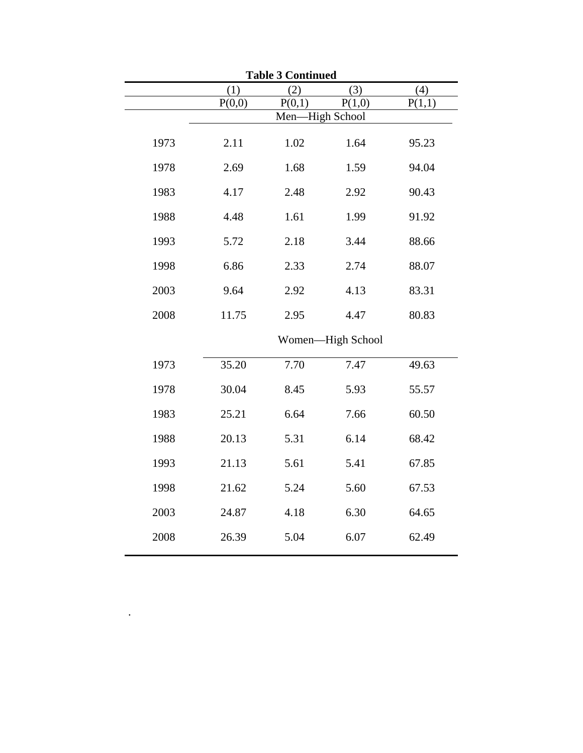| <b>Table 3 Continued</b> |                 |        |                   |        |  |  |  |  |
|--------------------------|-----------------|--------|-------------------|--------|--|--|--|--|
|                          | (1)             | (2)    | (3)               | (4)    |  |  |  |  |
|                          | P(0,0)          | P(0,1) | P(1,0)            | P(1,1) |  |  |  |  |
|                          | Men-High School |        |                   |        |  |  |  |  |
| 1973                     | 2.11            | 1.02   | 1.64              | 95.23  |  |  |  |  |
| 1978                     | 2.69            | 1.68   | 1.59              | 94.04  |  |  |  |  |
| 1983                     | 4.17            | 2.48   | 2.92              | 90.43  |  |  |  |  |
| 1988                     | 4.48            | 1.61   | 1.99              | 91.92  |  |  |  |  |
| 1993                     | 5.72            | 2.18   | 3.44              | 88.66  |  |  |  |  |
| 1998                     | 6.86            | 2.33   | 2.74              | 88.07  |  |  |  |  |
| 2003                     | 9.64            | 2.92   | 4.13              | 83.31  |  |  |  |  |
| 2008                     | 11.75           | 2.95   | 4.47              | 80.83  |  |  |  |  |
|                          |                 |        | Women-High School |        |  |  |  |  |
| 1973                     | 35.20           | 7.70   | 7.47              | 49.63  |  |  |  |  |
| 1978                     | 30.04           | 8.45   | 5.93              | 55.57  |  |  |  |  |
| 1983                     | 25.21           | 6.64   | 7.66              | 60.50  |  |  |  |  |
| 1988                     | 20.13           | 5.31   | 6.14              | 68.42  |  |  |  |  |
| 1993                     | 21.13           | 5.61   | 5.41              | 67.85  |  |  |  |  |
| 1998                     | 21.62           | 5.24   | 5.60              | 67.53  |  |  |  |  |
| 2003                     | 24.87           | 4.18   | 6.30              | 64.65  |  |  |  |  |
| 2008                     | 26.39           | 5.04   | 6.07              | 62.49  |  |  |  |  |

 $\mathcal{L}^{\mathcal{L}}(\mathcal{L}^{\mathcal{L}})$  . In the  $\mathcal{L}^{\mathcal{L}}(\mathcal{L}^{\mathcal{L}})$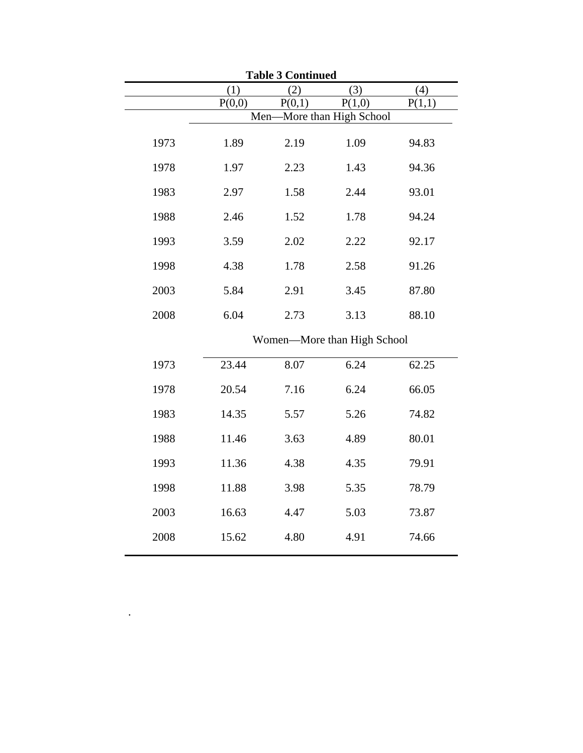| <b>Table 3 Continued</b> |        |        |                             |        |  |  |  |
|--------------------------|--------|--------|-----------------------------|--------|--|--|--|
|                          | (1)    | (2)    | (3)                         | (4)    |  |  |  |
|                          | P(0,0) | P(0,1) | P(1,0)                      | P(1,1) |  |  |  |
|                          | Men-   |        | -More than High School      |        |  |  |  |
| 1973                     | 1.89   | 2.19   | 1.09                        | 94.83  |  |  |  |
| 1978                     | 1.97   | 2.23   | 1.43                        | 94.36  |  |  |  |
| 1983                     | 2.97   | 1.58   | 2.44                        | 93.01  |  |  |  |
| 1988                     | 2.46   | 1.52   | 1.78                        | 94.24  |  |  |  |
| 1993                     | 3.59   | 2.02   | 2.22                        | 92.17  |  |  |  |
| 1998                     | 4.38   | 1.78   | 2.58                        | 91.26  |  |  |  |
| 2003                     | 5.84   | 2.91   | 3.45                        | 87.80  |  |  |  |
| 2008                     | 6.04   | 2.73   | 3.13                        | 88.10  |  |  |  |
|                          |        |        | Women-More than High School |        |  |  |  |
| 1973                     | 23.44  | 8.07   | 6.24                        | 62.25  |  |  |  |
| 1978                     | 20.54  | 7.16   | 6.24                        | 66.05  |  |  |  |
| 1983                     | 14.35  | 5.57   | 5.26                        | 74.82  |  |  |  |
| 1988                     | 11.46  | 3.63   | 4.89                        | 80.01  |  |  |  |
| 1993                     | 11.36  | 4.38   | 4.35                        | 79.91  |  |  |  |
| 1998                     | 11.88  | 3.98   | 5.35                        | 78.79  |  |  |  |
| 2003                     | 16.63  | 4.47   | 5.03                        | 73.87  |  |  |  |
| 2008                     | 15.62  | 4.80   | 4.91                        | 74.66  |  |  |  |
|                          |        |        |                             |        |  |  |  |

 $\mathcal{L}^{\text{max}}_{\text{max}}$  . The set of  $\mathcal{L}^{\text{max}}_{\text{max}}$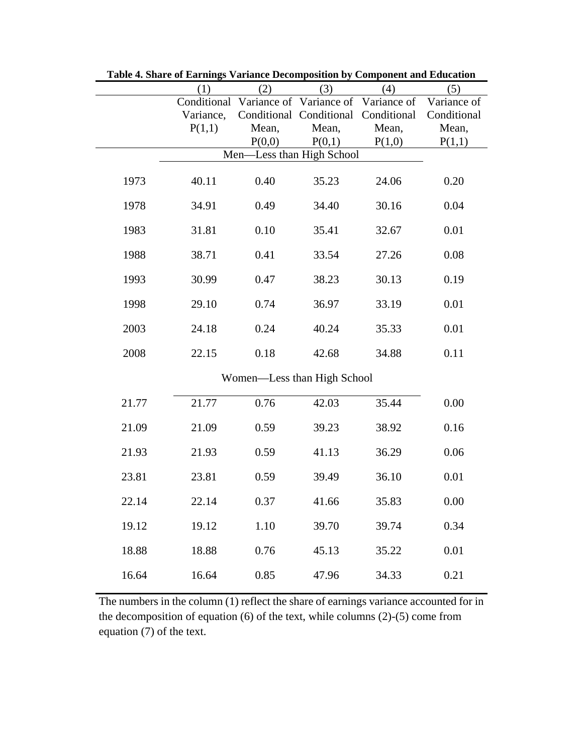|       | (1)       | (2)    | (3)                                             | (4)    | (5)         |
|-------|-----------|--------|-------------------------------------------------|--------|-------------|
|       |           |        | Conditional Variance of Variance of Variance of |        | Variance of |
|       | Variance, |        | Conditional Conditional Conditional             |        | Conditional |
|       | P(1,1)    | Mean,  | Mean,                                           | Mean,  | Mean,       |
|       |           | P(0,0) | P(0,1)                                          | P(1,0) | P(1,1)      |
|       |           |        | Men-Less than High School                       |        |             |
| 1973  | 40.11     | 0.40   | 35.23                                           | 24.06  | 0.20        |
| 1978  | 34.91     | 0.49   | 34.40                                           | 30.16  | 0.04        |
| 1983  | 31.81     | 0.10   | 35.41                                           | 32.67  | 0.01        |
| 1988  | 38.71     | 0.41   | 33.54                                           | 27.26  | 0.08        |
| 1993  | 30.99     | 0.47   | 38.23                                           | 30.13  | 0.19        |
| 1998  | 29.10     | 0.74   | 36.97                                           | 33.19  | 0.01        |
| 2003  | 24.18     | 0.24   | 40.24                                           | 35.33  | $0.01\,$    |
| 2008  | 22.15     | 0.18   | 42.68                                           | 34.88  | 0.11        |
|       |           |        | Women-Less than High School                     |        |             |
| 21.77 | 21.77     | 0.76   | 42.03                                           | 35.44  | 0.00        |
| 21.09 | 21.09     | 0.59   | 39.23                                           | 38.92  | 0.16        |
| 21.93 | 21.93     | 0.59   | 41.13                                           | 36.29  | 0.06        |
| 23.81 | 23.81     | 0.59   | 39.49                                           | 36.10  | 0.01        |
| 22.14 | 22.14     | 0.37   | 41.66                                           | 35.83  | 0.00        |
| 19.12 | 19.12     | 1.10   | 39.70                                           | 39.74  | 0.34        |
| 18.88 | 18.88     | 0.76   | 45.13                                           | 35.22  | 0.01        |
| 16.64 | 16.64     | 0.85   | 47.96                                           | 34.33  | 0.21        |

**Table 4. Share of Earnings Variance Decomposition by Component and Education**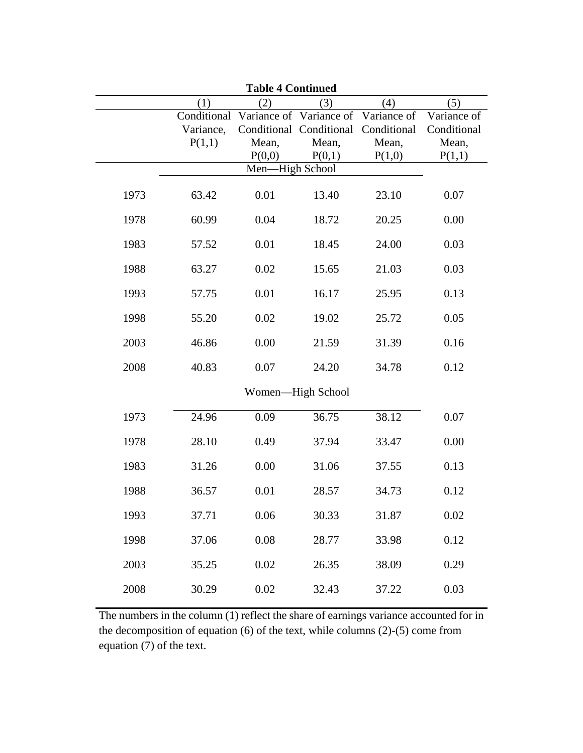|      |           | <b>Table 4 Continued</b> |                                                 |        |             |
|------|-----------|--------------------------|-------------------------------------------------|--------|-------------|
|      | (1)       | (2)                      | (3)                                             | (4)    | (5)         |
|      |           |                          | Conditional Variance of Variance of Variance of |        | Variance of |
|      | Variance, |                          | Conditional Conditional Conditional             |        | Conditional |
|      | P(1,1)    | Mean,                    | Mean,                                           | Mean,  | Mean,       |
|      |           | P(0,0)                   | P(0,1)                                          | P(1,0) | P(1,1)      |
|      |           | Men-High School          |                                                 |        |             |
| 1973 | 63.42     | 0.01                     | 13.40                                           | 23.10  | 0.07        |
| 1978 | 60.99     | 0.04                     | 18.72                                           | 20.25  | 0.00        |
| 1983 | 57.52     | 0.01                     | 18.45                                           | 24.00  | 0.03        |
| 1988 | 63.27     | 0.02                     | 15.65                                           | 21.03  | 0.03        |
| 1993 | 57.75     | 0.01                     | 16.17                                           | 25.95  | 0.13        |
| 1998 | 55.20     | 0.02                     | 19.02                                           | 25.72  | 0.05        |
| 2003 | 46.86     | 0.00                     | 21.59                                           | 31.39  | 0.16        |
| 2008 | 40.83     | 0.07                     | 24.20                                           | 34.78  | 0.12        |
|      |           |                          | Women-High School                               |        |             |
| 1973 | 24.96     | 0.09                     | 36.75                                           | 38.12  | 0.07        |
| 1978 | 28.10     | 0.49                     | 37.94                                           | 33.47  | 0.00        |
| 1983 | 31.26     | 0.00                     | 31.06                                           | 37.55  | 0.13        |
| 1988 | 36.57     | 0.01                     | 28.57                                           | 34.73  | 0.12        |
| 1993 | 37.71     | 0.06                     | 30.33                                           | 31.87  | 0.02        |
| 1998 | 37.06     | 0.08                     | 28.77                                           | 33.98  | 0.12        |
| 2003 | 35.25     | 0.02                     | 26.35                                           | 38.09  | 0.29        |
| 2008 | 30.29     | 0.02                     | 32.43                                           | 37.22  | 0.03        |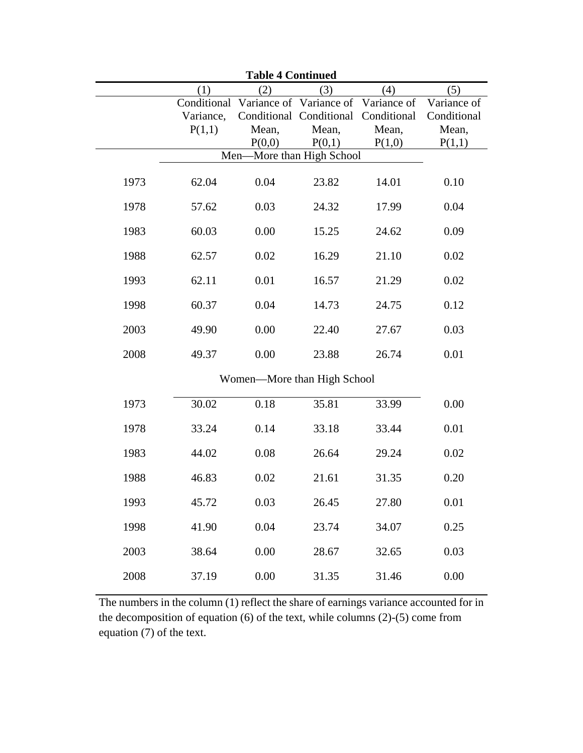| <b>Table 4 Continued</b> |           |                                                 |                                     |        |             |  |
|--------------------------|-----------|-------------------------------------------------|-------------------------------------|--------|-------------|--|
|                          | (1)       | (2)                                             | (3)                                 | (4)    | (5)         |  |
|                          |           | Conditional Variance of Variance of Variance of |                                     |        | Variance of |  |
|                          | Variance, |                                                 | Conditional Conditional Conditional |        | Conditional |  |
|                          | P(1,1)    | Mean,                                           | Mean,                               | Mean,  | Mean,       |  |
|                          |           | P(0,0)                                          | P(0,1)                              | P(1,0) | P(1,1)      |  |
|                          |           | Men-More than High School                       |                                     |        |             |  |
| 1973                     | 62.04     | 0.04                                            | 23.82                               | 14.01  | 0.10        |  |
| 1978                     | 57.62     | 0.03                                            | 24.32                               | 17.99  | 0.04        |  |
| 1983                     | 60.03     | 0.00                                            | 15.25                               | 24.62  | 0.09        |  |
| 1988                     | 62.57     | 0.02                                            | 16.29                               | 21.10  | 0.02        |  |
| 1993                     | 62.11     | 0.01                                            | 16.57                               | 21.29  | 0.02        |  |
| 1998                     | 60.37     | 0.04                                            | 14.73                               | 24.75  | 0.12        |  |
| 2003                     | 49.90     | 0.00                                            | 22.40                               | 27.67  | 0.03        |  |
| 2008                     | 49.37     | 0.00                                            | 23.88                               | 26.74  | 0.01        |  |
|                          |           | Women-More than High School                     |                                     |        |             |  |
| 1973                     | 30.02     | 0.18                                            | 35.81                               | 33.99  | 0.00        |  |
| 1978                     | 33.24     | 0.14                                            | 33.18                               | 33.44  | 0.01        |  |
| 1983                     | 44.02     | 0.08                                            | 26.64                               | 29.24  | 0.02        |  |
| 1988                     | 46.83     | 0.02                                            | 21.61                               | 31.35  | 0.20        |  |
| 1993                     | 45.72     | 0.03                                            | 26.45                               | 27.80  | 0.01        |  |
| 1998                     | 41.90     | 0.04                                            | 23.74                               | 34.07  | 0.25        |  |
| 2003                     | 38.64     | 0.00                                            | 28.67                               | 32.65  | 0.03        |  |
| 2008                     | 37.19     | 0.00                                            | 31.35                               | 31.46  | 0.00        |  |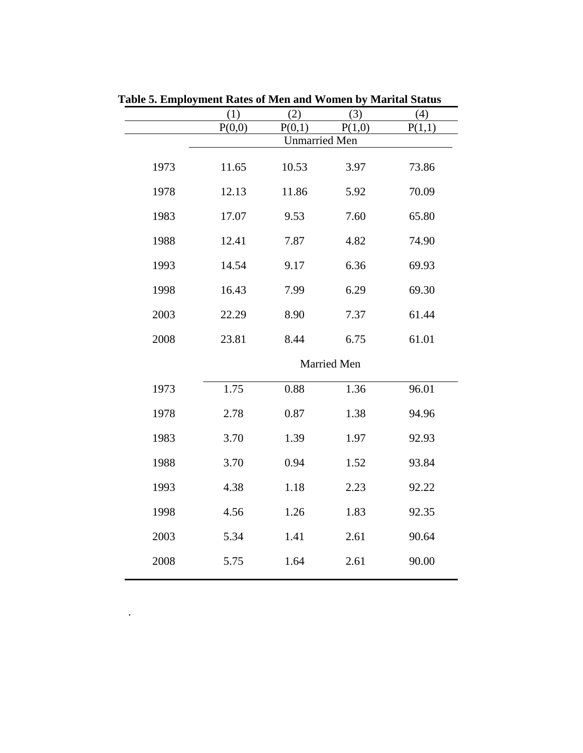|      | (1)    | (2)                  | (3)         | (4)    |
|------|--------|----------------------|-------------|--------|
|      | P(0,0) | P(0,1)               | P(1,0)      | P(1,1) |
|      |        | <b>Unmarried Men</b> |             |        |
| 1973 | 11.65  | 10.53                | 3.97        | 73.86  |
| 1978 | 12.13  | 11.86                | 5.92        | 70.09  |
| 1983 | 17.07  | 9.53                 | 7.60        | 65.80  |
| 1988 | 12.41  | 7.87                 | 4.82        | 74.90  |
| 1993 | 14.54  | 9.17                 | 6.36        | 69.93  |
| 1998 | 16.43  | 7.99                 | 6.29        | 69.30  |
| 2003 | 22.29  | 8.90                 | 7.37        | 61.44  |
| 2008 | 23.81  | 8.44                 | 6.75        | 61.01  |
|      |        |                      | Married Men |        |
| 1973 | 1.75   | 0.88                 | 1.36        | 96.01  |
| 1978 | 2.78   | 0.87                 | 1.38        | 94.96  |
| 1983 | 3.70   | 1.39                 | 1.97        | 92.93  |
| 1988 | 3.70   | 0.94                 | 1.52        | 93.84  |
| 1993 | 4.38   | 1.18                 | 2.23        | 92.22  |
| 1998 | 4.56   | 1.26                 | 1.83        | 92.35  |
| 2003 | 5.34   | 1.41                 | 2.61        | 90.64  |
| 2008 | 5.75   | 1.64                 | 2.61        | 90.00  |
|      |        |                      |             |        |

.

**Table 5. Employment Rates of Men and Women by Marital Status**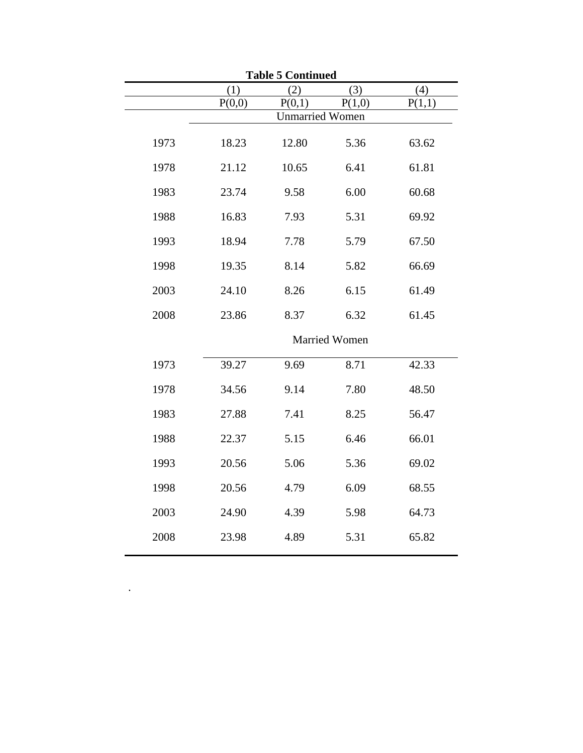|      | <b>Table 5 Continued</b> |        |                      |        |  |  |  |  |
|------|--------------------------|--------|----------------------|--------|--|--|--|--|
|      | (1)                      | (2)    | (3)                  | (4)    |  |  |  |  |
|      | P(0,0)                   | P(0,1) | P(1,0)               | P(1,1) |  |  |  |  |
|      | <b>Unmarried Women</b>   |        |                      |        |  |  |  |  |
| 1973 | 18.23                    | 12.80  | 5.36                 | 63.62  |  |  |  |  |
| 1978 | 21.12                    | 10.65  | 6.41                 | 61.81  |  |  |  |  |
| 1983 | 23.74                    | 9.58   | 6.00                 | 60.68  |  |  |  |  |
| 1988 | 16.83                    | 7.93   | 5.31                 | 69.92  |  |  |  |  |
| 1993 | 18.94                    | 7.78   | 5.79                 | 67.50  |  |  |  |  |
| 1998 | 19.35                    | 8.14   | 5.82                 | 66.69  |  |  |  |  |
| 2003 | 24.10                    | 8.26   | 6.15                 | 61.49  |  |  |  |  |
| 2008 | 23.86                    | 8.37   | 6.32                 | 61.45  |  |  |  |  |
|      |                          |        | <b>Married Women</b> |        |  |  |  |  |
| 1973 | 39.27                    | 9.69   | 8.71                 | 42.33  |  |  |  |  |
| 1978 | 34.56                    | 9.14   | 7.80                 | 48.50  |  |  |  |  |
| 1983 | 27.88                    | 7.41   | 8.25                 | 56.47  |  |  |  |  |
| 1988 | 22.37                    | 5.15   | 6.46                 | 66.01  |  |  |  |  |
| 1993 | 20.56                    | 5.06   | 5.36                 | 69.02  |  |  |  |  |
| 1998 | 20.56                    | 4.79   | 6.09                 | 68.55  |  |  |  |  |
| 2003 | 24.90                    | 4.39   | 5.98                 | 64.73  |  |  |  |  |
| 2008 | 23.98                    | 4.89   | 5.31                 | 65.82  |  |  |  |  |

 $\mathcal{L}^{\text{max}}_{\text{max}}$  . The set of  $\mathcal{L}^{\text{max}}_{\text{max}}$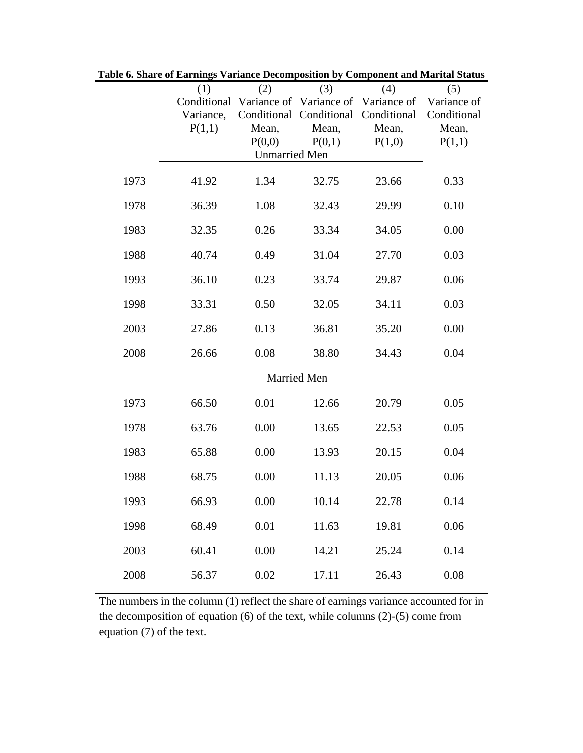|      | (1)         | (2)                  | (3)                                 | (4)    | (5)         |
|------|-------------|----------------------|-------------------------------------|--------|-------------|
|      | Conditional |                      | Variance of Variance of Variance of |        | Variance of |
|      | Variance,   |                      | Conditional Conditional Conditional |        | Conditional |
|      | P(1,1)      | Mean,                | Mean,                               | Mean,  | Mean,       |
|      |             | P(0,0)               | P(0,1)                              | P(1,0) | P(1,1)      |
|      |             | <b>Unmarried Men</b> |                                     |        |             |
| 1973 | 41.92       | 1.34                 | 32.75                               | 23.66  | 0.33        |
| 1978 | 36.39       | 1.08                 | 32.43                               | 29.99  | 0.10        |
| 1983 | 32.35       | 0.26                 | 33.34                               | 34.05  | 0.00        |
| 1988 | 40.74       | 0.49                 | 31.04                               | 27.70  | 0.03        |
| 1993 | 36.10       | 0.23                 | 33.74                               | 29.87  | 0.06        |
| 1998 | 33.31       | 0.50                 | 32.05                               | 34.11  | 0.03        |
| 2003 | 27.86       | 0.13                 | 36.81                               | 35.20  | 0.00        |
| 2008 | 26.66       | 0.08                 | 38.80                               | 34.43  | 0.04        |
|      |             |                      | Married Men                         |        |             |
| 1973 | 66.50       | 0.01                 | 12.66                               | 20.79  | 0.05        |
| 1978 | 63.76       | 0.00                 | 13.65                               | 22.53  | 0.05        |
| 1983 | 65.88       | 0.00                 | 13.93                               | 20.15  | 0.04        |
| 1988 | 68.75       | 0.00                 | 11.13                               | 20.05  | 0.06        |
| 1993 | 66.93       | 0.00                 | 10.14                               | 22.78  | 0.14        |
| 1998 | 68.49       | $0.01\,$             | 11.63                               | 19.81  | 0.06        |
| 2003 | 60.41       | 0.00                 | 14.21                               | 25.24  | 0.14        |
| 2008 | 56.37       | $0.02\,$             | 17.11                               | 26.43  | $0.08\,$    |

**Table 6. Share of Earnings Variance Decomposition by Component and Marital Status**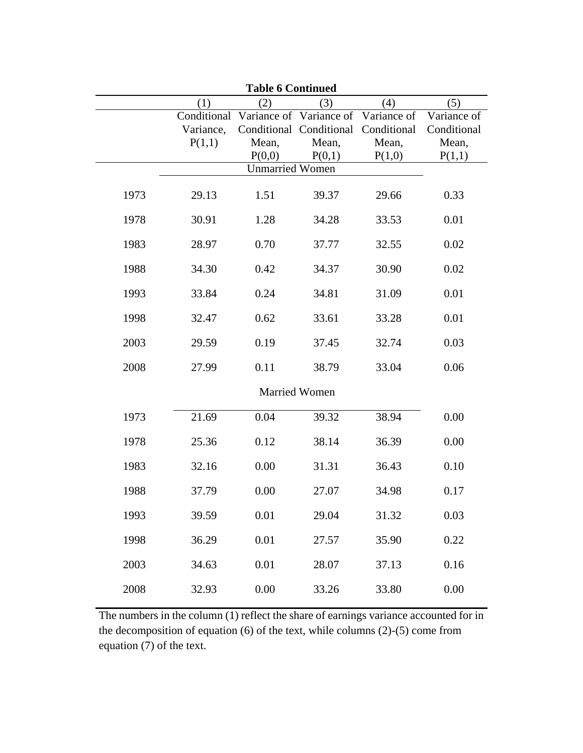|      |           | <b>Table 6 Continued</b>                        |                                     |        |             |
|------|-----------|-------------------------------------------------|-------------------------------------|--------|-------------|
|      | (1)       | (2)                                             | (3)                                 | (4)    | (5)         |
|      |           | Conditional Variance of Variance of Variance of |                                     |        | Variance of |
|      | Variance, |                                                 | Conditional Conditional Conditional |        | Conditional |
|      | P(1,1)    | Mean,                                           | Mean,                               | Mean,  | Mean,       |
|      |           | P(0,0)                                          | P(0,1)                              | P(1,0) | P(1,1)      |
|      |           | <b>Unmarried Women</b>                          |                                     |        |             |
| 1973 | 29.13     | 1.51                                            | 39.37                               | 29.66  | 0.33        |
| 1978 | 30.91     | 1.28                                            | 34.28                               | 33.53  | 0.01        |
| 1983 | 28.97     | 0.70                                            | 37.77                               | 32.55  | 0.02        |
| 1988 | 34.30     | 0.42                                            | 34.37                               | 30.90  | 0.02        |
| 1993 | 33.84     | 0.24                                            | 34.81                               | 31.09  | 0.01        |
| 1998 | 32.47     | 0.62                                            | 33.61                               | 33.28  | 0.01        |
| 2003 | 29.59     | 0.19                                            | 37.45                               | 32.74  | 0.03        |
| 2008 | 27.99     | 0.11                                            | 38.79                               | 33.04  | 0.06        |
|      |           |                                                 | <b>Married Women</b>                |        |             |
| 1973 | 21.69     | 0.04                                            | 39.32                               | 38.94  | 0.00        |
| 1978 | 25.36     | 0.12                                            | 38.14                               | 36.39  | 0.00        |
| 1983 | 32.16     | 0.00                                            | 31.31                               | 36.43  | 0.10        |
| 1988 | 37.79     | 0.00                                            | 27.07                               | 34.98  | 0.17        |
| 1993 | 39.59     | 0.01                                            | 29.04                               | 31.32  | 0.03        |
| 1998 | 36.29     | 0.01                                            | 27.57                               | 35.90  | 0.22        |
| 2003 | 34.63     | 0.01                                            | 28.07                               | 37.13  | 0.16        |
| 2008 | 32.93     | 0.00                                            | 33.26                               | 33.80  | 0.00        |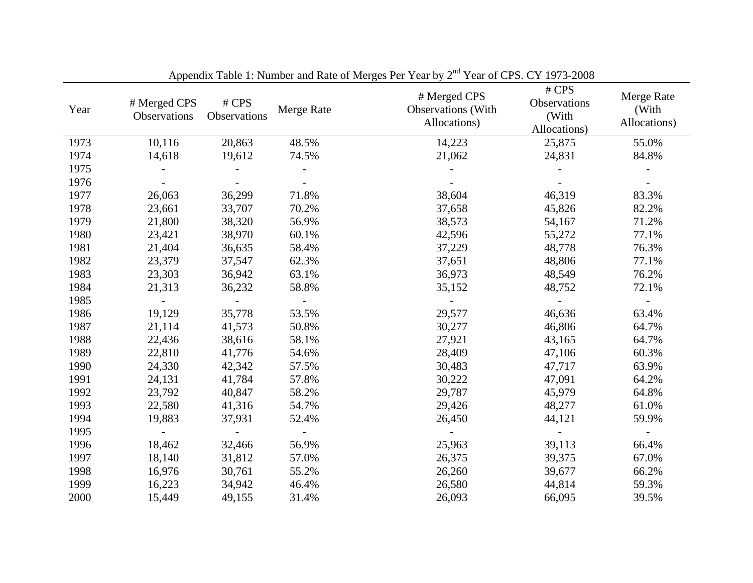| Year | # Merged CPS<br>Observations | # CPS<br>Observations | Merge Rate | # Merged CPS<br><b>Observations</b> (With<br>Allocations) | # CPS<br>Observations<br>(With<br>Allocations) | Merge Rate<br>(With<br>Allocations) |
|------|------------------------------|-----------------------|------------|-----------------------------------------------------------|------------------------------------------------|-------------------------------------|
| 1973 | 10,116                       | 20,863                | 48.5%      | 14,223                                                    | 25,875                                         | 55.0%                               |
| 1974 | 14,618                       | 19,612                | 74.5%      | 21,062                                                    | 24,831                                         | 84.8%                               |
| 1975 |                              |                       |            |                                                           |                                                |                                     |
| 1976 |                              |                       |            |                                                           |                                                |                                     |
| 1977 | 26,063                       | 36,299                | 71.8%      | 38,604                                                    | 46,319                                         | 83.3%                               |
| 1978 | 23,661                       | 33,707                | 70.2%      | 37,658                                                    | 45,826                                         | 82.2%                               |
| 1979 | 21,800                       | 38,320                | 56.9%      | 38,573                                                    | 54,167                                         | 71.2%                               |
| 1980 | 23,421                       | 38,970                | 60.1%      | 42,596                                                    | 55,272                                         | 77.1%                               |
| 1981 | 21,404                       | 36,635                | 58.4%      | 37,229                                                    | 48,778                                         | 76.3%                               |
| 1982 | 23,379                       | 37,547                | 62.3%      | 37,651                                                    | 48,806                                         | 77.1%                               |
| 1983 | 23,303                       | 36,942                | 63.1%      | 36,973                                                    | 48,549                                         | 76.2%                               |
| 1984 | 21,313                       | 36,232                | 58.8%      | 35,152                                                    | 48,752                                         | 72.1%                               |
| 1985 |                              |                       |            |                                                           |                                                |                                     |
| 1986 | 19,129                       | 35,778                | 53.5%      | 29,577                                                    | 46,636                                         | 63.4%                               |
| 1987 | 21,114                       | 41,573                | 50.8%      | 30,277                                                    | 46,806                                         | 64.7%                               |
| 1988 | 22,436                       | 38,616                | 58.1%      | 27,921                                                    | 43,165                                         | 64.7%                               |
| 1989 | 22,810                       | 41,776                | 54.6%      | 28,409                                                    | 47,106                                         | 60.3%                               |
| 1990 | 24,330                       | 42,342                | 57.5%      | 30,483                                                    | 47,717                                         | 63.9%                               |
| 1991 | 24,131                       | 41,784                | 57.8%      | 30,222                                                    | 47,091                                         | 64.2%                               |
| 1992 | 23,792                       | 40,847                | 58.2%      | 29,787                                                    | 45,979                                         | 64.8%                               |
| 1993 | 22,580                       | 41,316                | 54.7%      | 29,426                                                    | 48,277                                         | 61.0%                               |
| 1994 | 19,883                       | 37,931                | 52.4%      | 26,450                                                    | 44,121                                         | 59.9%                               |
| 1995 |                              |                       |            |                                                           |                                                |                                     |
| 1996 | 18,462                       | 32,466                | 56.9%      | 25,963                                                    | 39,113                                         | 66.4%                               |
| 1997 | 18,140                       | 31,812                | 57.0%      | 26,375                                                    | 39,375                                         | 67.0%                               |
| 1998 | 16,976                       | 30,761                | 55.2%      | 26,260                                                    | 39,677                                         | 66.2%                               |
| 1999 | 16,223                       | 34,942                | 46.4%      | 26,580                                                    | 44,814                                         | 59.3%                               |
| 2000 | 15,449                       | 49,155                | 31.4%      | 26,093                                                    | 66,095                                         | 39.5%                               |

Appendix Table 1: Number and Rate of Merges Per Year by 2<sup>nd</sup> Year of CPS. CY 1973-2008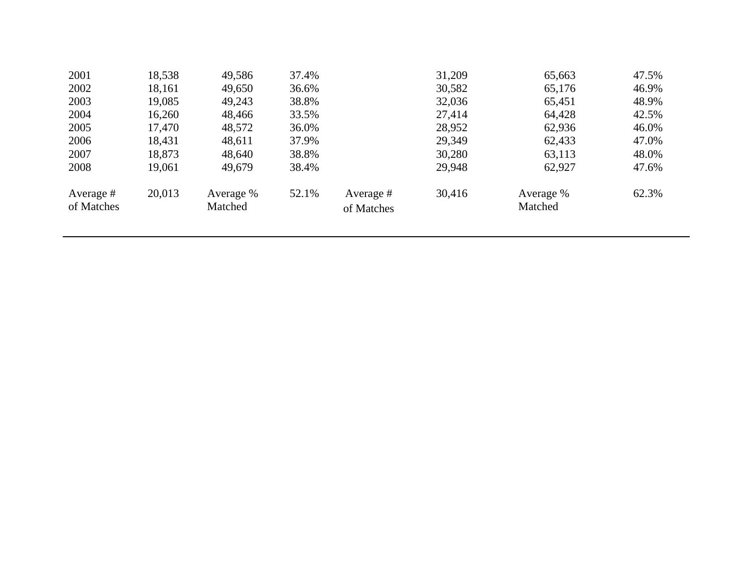| 2001                    | 18,538 | 49,586               | 37.4% |                         | 31,209 | 65,663               | 47.5% |
|-------------------------|--------|----------------------|-------|-------------------------|--------|----------------------|-------|
| 2002                    | 18,161 | 49,650               | 36.6% |                         | 30,582 | 65,176               | 46.9% |
| 2003                    | 19,085 | 49,243               | 38.8% |                         | 32,036 | 65,451               | 48.9% |
| 2004                    | 16,260 | 48,466               | 33.5% |                         | 27,414 | 64,428               | 42.5% |
| 2005                    | 17,470 | 48,572               | 36.0% |                         | 28,952 | 62,936               | 46.0% |
| 2006                    | 18,431 | 48,611               | 37.9% |                         | 29,349 | 62,433               | 47.0% |
| 2007                    | 18,873 | 48,640               | 38.8% |                         | 30,280 | 63,113               | 48.0% |
| 2008                    | 19,061 | 49,679               | 38.4% |                         | 29,948 | 62,927               | 47.6% |
| Average #<br>of Matches | 20,013 | Average %<br>Matched | 52.1% | Average #<br>of Matches | 30,416 | Average %<br>Matched | 62.3% |